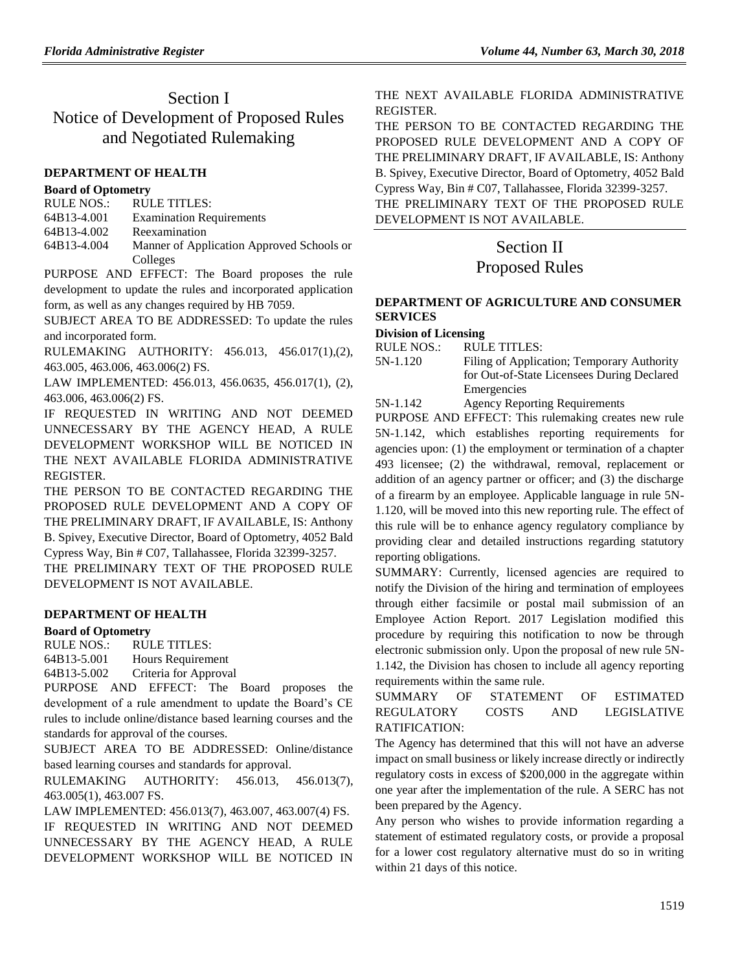# Section I Notice of Development of Proposed Rules and Negotiated Rulemaking

#### **[DEPARTMENT OF HEALTH](https://www.flrules.org/gateway/department.asp?id=64)**

#### **[Board of Optometry](https://www.flrules.org/gateway/organization.asp?id=304)**

| RULE NOS.:  | RULE TITLES:                              |
|-------------|-------------------------------------------|
| 64B13-4.001 | <b>Examination Requirements</b>           |
| 64B13-4.002 | Reexamination                             |
| 64B13-4.004 | Manner of Application Approved Schools or |
|             | Colleges                                  |

PURPOSE AND EFFECT: The Board proposes the rule development to update the rules and incorporated application form, as well as any changes required by HB 7059.

SUBJECT AREA TO BE ADDRESSED: To update the rules and incorporated form.

RULEMAKING AUTHORITY: [456.013,](https://www.flrules.org/gateway/statute.asp?id=456.013) [456.017\(1\),](https://www.flrules.org/gateway/statute.asp?id=%20456.017(1))(2), [463.005,](https://www.flrules.org/gateway/statute.asp?id=%20463.005) [463.006,](https://www.flrules.org/gateway/statute.asp?id=463.006) [463.006\(2\) FS.](https://www.flrules.org/gateway/statute.asp?id=%20463.006(2)%20FS.)

LAW IMPLEMENTED: [456.013,](https://www.flrules.org/gateway/statute.asp?id=456.013) [456.0635,](https://www.flrules.org/gateway/statute.asp?id=%20456.0635) [456.017\(1\),](https://www.flrules.org/gateway/statute.asp?id=%20456.017(1)) (2), [463.006,](https://www.flrules.org/gateway/statute.asp?id=%20463.006) [463.006\(2\) FS.](https://www.flrules.org/gateway/statute.asp?id=%20463.006(2)%20FS.)

IF REQUESTED IN WRITING AND NOT DEEMED UNNECESSARY BY THE AGENCY HEAD, A RULE DEVELOPMENT WORKSHOP WILL BE NOTICED IN THE NEXT AVAILABLE FLORIDA ADMINISTRATIVE REGISTER.

THE PERSON TO BE CONTACTED REGARDING THE PROPOSED RULE DEVELOPMENT AND A COPY OF THE PRELIMINARY DRAFT, IF AVAILABLE, IS: Anthony B. Spivey, Executive Director, Board of Optometry, 4052 Bald Cypress Way, Bin # C07, Tallahassee, Florida 32399-3257.

THE PRELIMINARY TEXT OF THE PROPOSED RULE DEVELOPMENT IS NOT AVAILABLE.

#### **[DEPARTMENT OF HEALTH](https://www.flrules.org/gateway/department.asp?id=64)**

#### **[Board of Optometry](https://www.flrules.org/gateway/organization.asp?id=304)**

RULE NOS.: RULE TITLES: [64B13-5.001](https://www.flrules.org/gateway/ruleNo.asp?id=64B13-5.001) Hours Requirement [64B13-5.002](https://www.flrules.org/gateway/ruleNo.asp?id=64B13-5.002) Criteria for Approval

PURPOSE AND EFFECT: The Board proposes the development of a rule amendment to update the Board's CE rules to include online/distance based learning courses and the standards for approval of the courses.

SUBJECT AREA TO BE ADDRESSED: Online/distance based learning courses and standards for approval.

RULEMAKING AUTHORITY: [456.013,](https://www.flrules.org/gateway/statute.asp?id=456.013) [456.013\(7\),](https://www.flrules.org/gateway/statute.asp?id=%20456.013(7)) [463.005\(1\),](https://www.flrules.org/gateway/statute.asp?id=%20463.005(1)) [463.007 FS.](https://www.flrules.org/gateway/statute.asp?id=%20463.007%20FS.)

LAW IMPLEMENTED: [456.013\(7\),](https://www.flrules.org/gateway/statute.asp?id=456.013(7)) [463.007,](https://www.flrules.org/gateway/statute.asp?id=%20463.007) [463.007\(4\) FS.](https://www.flrules.org/gateway/statute.asp?id=%20463.007(4)%20FS.)

IF REQUESTED IN WRITING AND NOT DEEMED UNNECESSARY BY THE AGENCY HEAD, A RULE DEVELOPMENT WORKSHOP WILL BE NOTICED IN THE NEXT AVAILABLE FLORIDA ADMINISTRATIVE REGISTER.

THE PERSON TO BE CONTACTED REGARDING THE PROPOSED RULE DEVELOPMENT AND A COPY OF THE PRELIMINARY DRAFT, IF AVAILABLE, IS: Anthony B. Spivey, Executive Director, Board of Optometry, 4052 Bald Cypress Way, Bin # C07, Tallahassee, Florida 32399-3257. THE PRELIMINARY TEXT OF THE PROPOSED RULE

DEVELOPMENT IS NOT AVAILABLE.

# Section II

# Proposed Rules

### **[DEPARTMENT OF AGRICULTURE AND CONSUMER](https://www.flrules.org/gateway/department.asp?id=5)  [SERVICES](https://www.flrules.org/gateway/department.asp?id=5)**

#### **[Division of Licensing](https://www.flrules.org/gateway/organization.asp?id=756)**

| RULE NOS.: | <b>RULE TITLES:</b> |
|------------|---------------------|
|            |                     |

| 5N-1.120 | Filing of Application; Temporary Authority |
|----------|--------------------------------------------|
|          | for Out-of-State Licensees During Declared |
|          | Emergencies                                |
| T311110  | $\blacksquare$ . The set of $\blacksquare$ |

[5N-1.142](https://www.flrules.org/gateway/ruleNo.asp?id=5N-1.142) Agency Reporting Requirements

PURPOSE AND EFFECT: This rulemaking creates new rule 5N-1.142, which establishes reporting requirements for agencies upon: (1) the employment or termination of a chapter 493 licensee; (2) the withdrawal, removal, replacement or addition of an agency partner or officer; and (3) the discharge of a firearm by an employee. Applicable language in rule 5N-1.120, will be moved into this new reporting rule. The effect of this rule will be to enhance agency regulatory compliance by providing clear and detailed instructions regarding statutory reporting obligations.

SUMMARY: Currently, licensed agencies are required to notify the Division of the hiring and termination of employees through either facsimile or postal mail submission of an Employee Action Report. 2017 Legislation modified this procedure by requiring this notification to now be through electronic submission only. Upon the proposal of new rule 5N-1.142, the Division has chosen to include all agency reporting requirements within the same rule.

## SUMMARY OF STATEMENT OF ESTIMATED REGULATORY COSTS AND LEGISLATIVE RATIFICATION:

The Agency has determined that this will not have an adverse impact on small business or likely increase directly or indirectly regulatory costs in excess of \$200,000 in the aggregate within one year after the implementation of the rule. A SERC has not been prepared by the Agency.

Any person who wishes to provide information regarding a statement of estimated regulatory costs, or provide a proposal for a lower cost regulatory alternative must do so in writing within 21 days of this notice.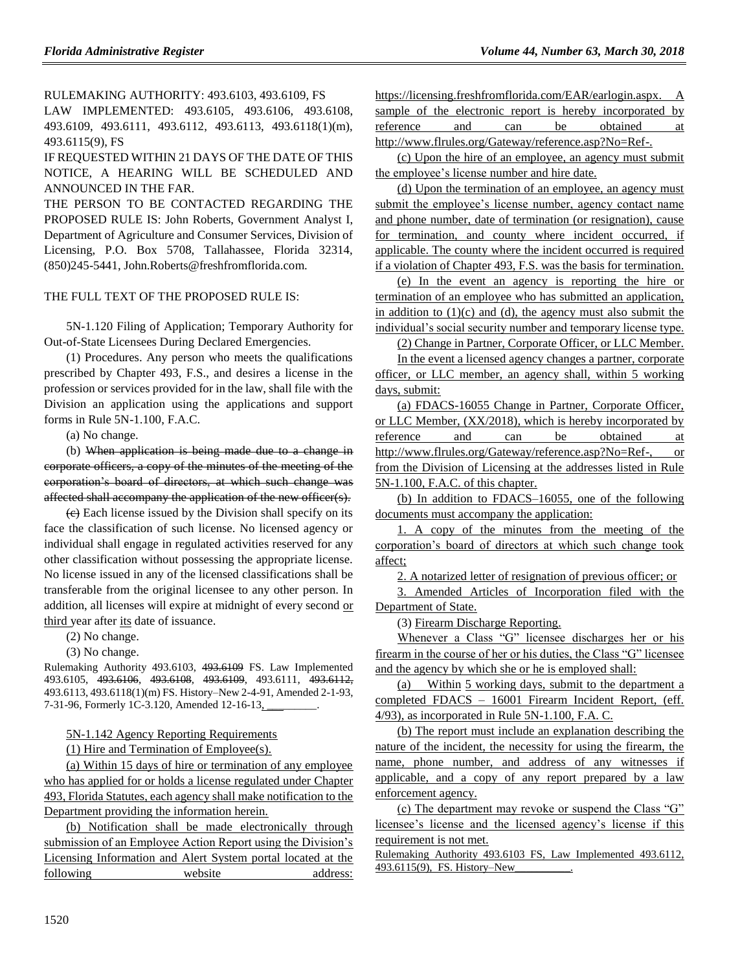RULEMAKING AUTHORITY: [493.6103, 493.6109, FS](https://www.flrules.org/gateway/cfr.asp?id=493.6103,%20493.6109,%20FS)

LAW IMPLEMENTED: [493.6105, 493.6106, 493.6108,](https://www.flrules.org/gateway/cfr.asp?id=493.6105,%20493.6106,%20493.6108,%20493.6109,%20493.6111,%20493.6112,%20493.6113,%20493.6118(1)(m),%20493.6115(9),%20FS)  [493.6109, 493.6111, 493.6112, 493.6113, 493.6118\(1\)\(m\),](https://www.flrules.org/gateway/cfr.asp?id=493.6105,%20493.6106,%20493.6108,%20493.6109,%20493.6111,%20493.6112,%20493.6113,%20493.6118(1)(m),%20493.6115(9),%20FS)  [493.6115\(9\), FS](https://www.flrules.org/gateway/cfr.asp?id=493.6105,%20493.6106,%20493.6108,%20493.6109,%20493.6111,%20493.6112,%20493.6113,%20493.6118(1)(m),%20493.6115(9),%20FS)

IF REQUESTED WITHIN 21 DAYS OF THE DATE OF THIS NOTICE, A HEARING WILL BE SCHEDULED AND ANNOUNCED IN THE FAR.

THE PERSON TO BE CONTACTED REGARDING THE PROPOSED RULE IS: John Roberts, Government Analyst I, Department of Agriculture and Consumer Services, Division of Licensing, P.O. Box 5708, Tallahassee, Florida 32314, (850)245-5441, John.Roberts@freshfromflorida.com.

#### THE FULL TEXT OF THE PROPOSED RULE IS:

5N-1.120 Filing of Application; Temporary Authority for Out-of-State Licensees During Declared Emergencies.

(1) Procedures. Any person who meets the qualifications prescribed by Chapter 493, F.S., and desires a license in the profession or services provided for in the law, shall file with the Division an application using the applications and support forms in Rule 5N-1.100, F.A.C.

(a) No change.

(b) When application is being made due to a change in corporate officers, a copy of the minutes of the meeting of the corporation's board of directors, at which such change was affected shall accompany the application of the new officer(s).

(c) Each license issued by the Division shall specify on its face the classification of such license. No licensed agency or individual shall engage in regulated activities reserved for any other classification without possessing the appropriate license. No license issued in any of the licensed classifications shall be transferable from the original licensee to any other person. In addition, all licenses will expire at midnight of every second or third year after its date of issuance.

(2) No change.

(3) No change.

Rulemaking Authority 493.6103, 493.6109 FS. Law Implemented 493.6105, 493.6106, 493.6108, 493.6109, 493.6111, 493.6112, 493.6113, 493.6118(1)(m) FS. History–New 2-4-91, Amended 2-1-93, 7-31-96, Formerly 1C-3.120, Amended 12-16-13,

5N-1.142 Agency Reporting Requirements

(1) Hire and Termination of Employee(s).

(a) Within 15 days of hire or termination of any employee who has applied for or holds a license regulated under Chapter 493, Florida Statutes, each agency shall make notification to the Department providing the information herein.

(b) Notification shall be made electronically through submission of an Employee Action Report using the Division's Licensing Information and Alert System portal located at the following website address: [https://licensing.freshfromflorida.com/EAR/earlogin.aspx.](https://licensing.freshfromflorida.com/EAR/earlogin.aspx) A sample of the electronic report is hereby incorporated by reference and can be obtained at [http://www.flrules.org/Gateway/reference.asp?No=Ref-.](http://www.flrules.org/Gateway/reference.asp?No=Ref-)

(c) Upon the hire of an employee, an agency must submit the employee's license number and hire date.

(d) Upon the termination of an employee, an agency must submit the employee's license number, agency contact name and phone number, date of termination (or resignation), cause for termination, and county where incident occurred, if applicable. The county where the incident occurred is required if a violation of Chapter 493, F.S. was the basis for termination.

(e) In the event an agency is reporting the hire or termination of an employee who has submitted an application, in addition to  $(1)(c)$  and  $(d)$ , the agency must also submit the individual's social security number and temporary license type.

(2) Change in Partner, Corporate Officer, or LLC Member.

In the event a licensed agency changes a partner, corporate officer, or LLC member, an agency shall, within 5 working days, submit:

(a) FDACS-16055 Change in Partner, Corporate Officer, or LLC Member, (XX/2018), which is hereby incorporated by reference and can be obtained at [http://www.flrules.org/Gateway/reference.asp?No=Ref-,](http://www.flrules.org/Gateway/reference.asp?No=Ref-) or from the Division of Licensing at the addresses listed in Rule 5N-1.100, F.A.C. of this chapter.

(b) In addition to FDACS–16055, one of the following documents must accompany the application:

1. A copy of the minutes from the meeting of the corporation's board of directors at which such change took affect;

2. A notarized letter of resignation of previous officer; or

3. Amended Articles of Incorporation filed with the Department of State.

(3) Firearm Discharge Reporting.

Whenever a Class "G" licensee discharges her or his firearm in the course of her or his duties, the Class "G" licensee and the agency by which she or he is employed shall:

(a) Within 5 working days, submit to the department a completed FDACS – 16001 Firearm Incident Report, (eff. 4/93), as incorporated in Rule 5N-1.100, F.A. C.

(b) The report must include an explanation describing the nature of the incident, the necessity for using the firearm, the name, phone number, and address of any witnesses if applicable, and a copy of any report prepared by a law enforcement agency.

(c) The department may revoke or suspend the Class "G" licensee's license and the licensed agency's license if this requirement is not met.

Rulemaking Authority 493.6103 FS, Law Implemented 493.6112, 493.6115(9), FS. History–New\_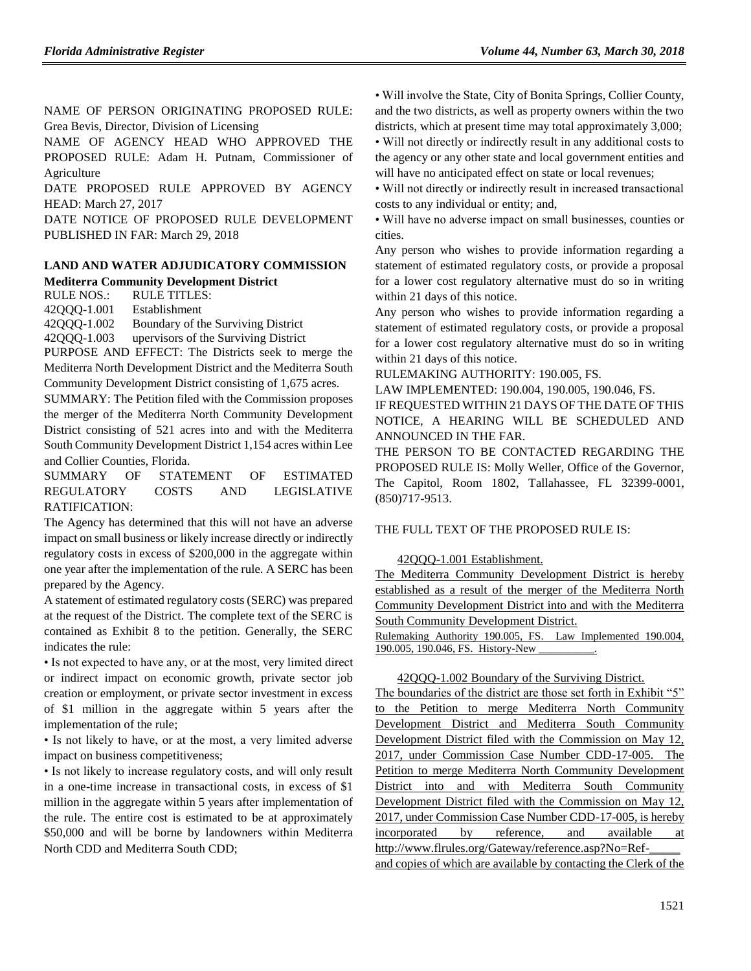NAME OF PERSON ORIGINATING PROPOSED RULE: Grea Bevis, Director, Division of Licensing

NAME OF AGENCY HEAD WHO APPROVED THE PROPOSED RULE: Adam H. Putnam, Commissioner of Agriculture

DATE PROPOSED RULE APPROVED BY AGENCY HEAD: March 27, 2017

DATE NOTICE OF PROPOSED RULE DEVELOPMENT PUBLISHED IN FAR: March 29, 2018

## **[LAND AND WATER ADJUDICATORY COMMISSION](https://www.flrules.org/gateway/department.asp?id=42) [Mediterra Community Development District](https://www.flrules.org/gateway/organization.asp?id=1306)**

RULE NOS.: RULE TITLES:

[42QQQ-1.001](https://www.flrules.org/gateway/ruleNo.asp?id=42QQQ-1.001) Establishment [42QQQ-1.002](https://www.flrules.org/gateway/ruleNo.asp?id=42QQQ-1.002) Boundary of the Surviving District [42QQQ-1.003](https://www.flrules.org/gateway/ruleNo.asp?id=42QQQ-1.003) upervisors of the Surviving District

PURPOSE AND EFFECT: The Districts seek to merge the Mediterra North Development District and the Mediterra South Community Development District consisting of 1,675 acres.

SUMMARY: The Petition filed with the Commission proposes the merger of the Mediterra North Community Development District consisting of 521 acres into and with the Mediterra South Community Development District 1,154 acres within Lee and Collier Counties, Florida.

SUMMARY OF STATEMENT OF ESTIMATED REGULATORY COSTS AND LEGISLATIVE RATIFICATION:

The Agency has determined that this will not have an adverse impact on small business or likely increase directly or indirectly regulatory costs in excess of \$200,000 in the aggregate within one year after the implementation of the rule. A SERC has been prepared by the Agency.

A statement of estimated regulatory costs (SERC) was prepared at the request of the District. The complete text of the SERC is contained as Exhibit 8 to the petition. Generally, the SERC indicates the rule:

• Is not expected to have any, or at the most, very limited direct or indirect impact on economic growth, private sector job creation or employment, or private sector investment in excess of \$1 million in the aggregate within 5 years after the implementation of the rule;

• Is not likely to have, or at the most, a very limited adverse impact on business competitiveness;

• Is not likely to increase regulatory costs, and will only result in a one-time increase in transactional costs, in excess of \$1 million in the aggregate within 5 years after implementation of the rule. The entire cost is estimated to be at approximately \$50,000 and will be borne by landowners within Mediterra North CDD and Mediterra South CDD;

• Will involve the State, City of Bonita Springs, Collier County, and the two districts, as well as property owners within the two districts, which at present time may total approximately 3,000;

• Will not directly or indirectly result in any additional costs to the agency or any other state and local government entities and will have no anticipated effect on state or local revenues;

• Will not directly or indirectly result in increased transactional costs to any individual or entity; and,

• Will have no adverse impact on small businesses, counties or cities.

Any person who wishes to provide information regarding a statement of estimated regulatory costs, or provide a proposal for a lower cost regulatory alternative must do so in writing within 21 days of this notice.

Any person who wishes to provide information regarding a statement of estimated regulatory costs, or provide a proposal for a lower cost regulatory alternative must do so in writing within 21 days of this notice.

RULEMAKING AUTHORITY: [190.005,](https://www.flrules.org/gateway/statute.asp?id=190.005) FS.

LAW IMPLEMENTED: [190.004,](https://www.flrules.org/gateway/statute.asp?id=190.004) [190.005,](https://www.flrules.org/gateway/statute.asp?id=%20190.005) [190.046,](https://www.flrules.org/gateway/statute.asp?id=%20190.046) FS.

IF REQUESTED WITHIN 21 DAYS OF THE DATE OF THIS NOTICE, A HEARING WILL BE SCHEDULED AND ANNOUNCED IN THE FAR.

THE PERSON TO BE CONTACTED REGARDING THE PROPOSED RULE IS: Molly Weller, Office of the Governor, The Capitol, Room 1802, Tallahassee, FL 32399-0001, (850)717-9513.

#### THE FULL TEXT OF THE PROPOSED RULE IS:

42QQQ-1.001 Establishment.

The Mediterra Community Development District is hereby established as a result of the merger of the Mediterra North Community Development District into and with the Mediterra South Community Development District.

Rulemaking Authority 190.005, FS. Law Implemented 190.004, 190.005, 190.046, FS. History-New

#### 42QQQ-1.002 Boundary of the Surviving District.

The boundaries of the district are those set forth in Exhibit "5" to the Petition to merge Mediterra North Community Development District and Mediterra South Community Development District filed with the Commission on May 12, 2017, under Commission Case Number CDD-17-005. The Petition to merge Mediterra North Community Development District into and with Mediterra South Community Development District filed with the Commission on May 12, 2017, under Commission Case Number CDD-17-005, is hereby incorporated by reference, and available at http://www.flrules.org/Gateway/reference.asp?No=Refand copies of which are available by contacting the Clerk of the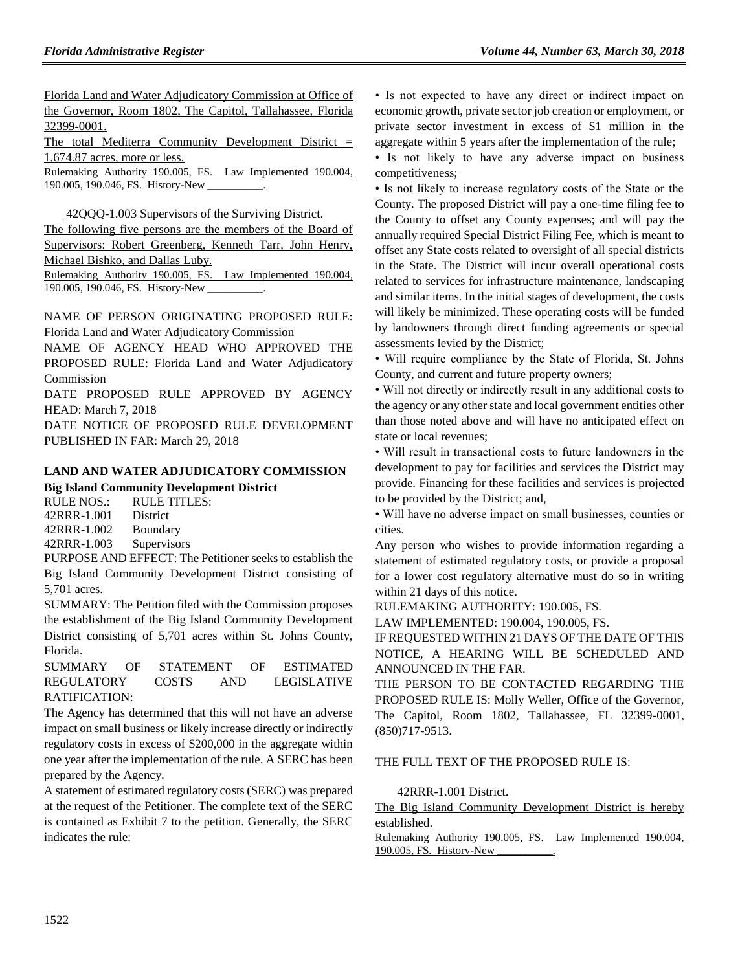Florida Land and Water Adjudicatory Commission at Office of the Governor, Room 1802, The Capitol, Tallahassee, Florida 32399-0001.

The total Mediterra Community Development District = 1,674.87 acres, more or less.

Rulemaking Authority 190.005, FS. Law Implemented 190.004, 190.005, 190.046, FS. History-New

42QQQ-1.003 Supervisors of the Surviving District.

The following five persons are the members of the Board of Supervisors: Robert Greenberg, Kenneth Tarr, John Henry, Michael Bishko, and Dallas Luby. Rulemaking Authority 190.005, FS. Law Implemented 190.004,

190.005, 190.046, FS. History-New \_\_\_\_\_\_\_\_\_\_.

NAME OF PERSON ORIGINATING PROPOSED RULE: Florida Land and Water Adjudicatory Commission

NAME OF AGENCY HEAD WHO APPROVED THE PROPOSED RULE: Florida Land and Water Adjudicatory Commission

DATE PROPOSED RULE APPROVED BY AGENCY HEAD: March 7, 2018

DATE NOTICE OF PROPOSED RULE DEVELOPMENT PUBLISHED IN FAR: March 29, 2018

## **[LAND AND WATER ADJUDICATORY COMMISSION](https://www.flrules.org/gateway/department.asp?id=42) [Big Island Community Development District](https://www.flrules.org/gateway/organization.asp?id=1307)**

RULE NOS.: RULE TITLES: [42RRR-1.001](https://www.flrules.org/gateway/ruleNo.asp?id=42RRR-1.001) District [42RRR-1.002](https://www.flrules.org/gateway/ruleNo.asp?id=42RRR-1.002) Boundary [42RRR-1.003](https://www.flrules.org/gateway/ruleNo.asp?id=42RRR-1.003) Supervisors

PURPOSE AND EFFECT: The Petitioner seeks to establish the Big Island Community Development District consisting of 5,701 acres.

SUMMARY: The Petition filed with the Commission proposes the establishment of the Big Island Community Development District consisting of 5,701 acres within St. Johns County, Florida.

SUMMARY OF STATEMENT OF ESTIMATED REGULATORY COSTS AND LEGISLATIVE RATIFICATION:

The Agency has determined that this will not have an adverse impact on small business or likely increase directly or indirectly regulatory costs in excess of \$200,000 in the aggregate within one year after the implementation of the rule. A SERC has been prepared by the Agency.

A statement of estimated regulatory costs (SERC) was prepared at the request of the Petitioner. The complete text of the SERC is contained as Exhibit 7 to the petition. Generally, the SERC indicates the rule:

• Is not expected to have any direct or indirect impact on economic growth, private sector job creation or employment, or private sector investment in excess of \$1 million in the aggregate within 5 years after the implementation of the rule;

• Is not likely to have any adverse impact on business competitiveness;

• Is not likely to increase regulatory costs of the State or the County. The proposed District will pay a one-time filing fee to the County to offset any County expenses; and will pay the annually required Special District Filing Fee, which is meant to offset any State costs related to oversight of all special districts in the State. The District will incur overall operational costs related to services for infrastructure maintenance, landscaping and similar items. In the initial stages of development, the costs will likely be minimized. These operating costs will be funded by landowners through direct funding agreements or special assessments levied by the District;

• Will require compliance by the State of Florida, St. Johns County, and current and future property owners;

• Will not directly or indirectly result in any additional costs to the agency or any other state and local government entities other than those noted above and will have no anticipated effect on state or local revenues;

• Will result in transactional costs to future landowners in the development to pay for facilities and services the District may provide. Financing for these facilities and services is projected to be provided by the District; and,

• Will have no adverse impact on small businesses, counties or cities.

Any person who wishes to provide information regarding a statement of estimated regulatory costs, or provide a proposal for a lower cost regulatory alternative must do so in writing within 21 days of this notice.

RULEMAKING AUTHORITY: [190.005,](https://www.flrules.org/gateway/statute.asp?id=190.005) FS.

LAW IMPLEMENTED: [190.004,](https://www.flrules.org/gateway/statute.asp?id=190.004) [190.005,](https://www.flrules.org/gateway/statute.asp?id=%20190.005) FS.

IF REQUESTED WITHIN 21 DAYS OF THE DATE OF THIS NOTICE, A HEARING WILL BE SCHEDULED AND ANNOUNCED IN THE FAR.

THE PERSON TO BE CONTACTED REGARDING THE PROPOSED RULE IS: Molly Weller, Office of the Governor, The Capitol, Room 1802, Tallahassee, FL 32399-0001, (850)717-9513.

## THE FULL TEXT OF THE PROPOSED RULE IS:

42RRR-1.001 District.

The Big Island Community Development District is hereby established.

Rulemaking Authority 190.005, FS. Law Implemented 190.004, 190.005, FS. History-New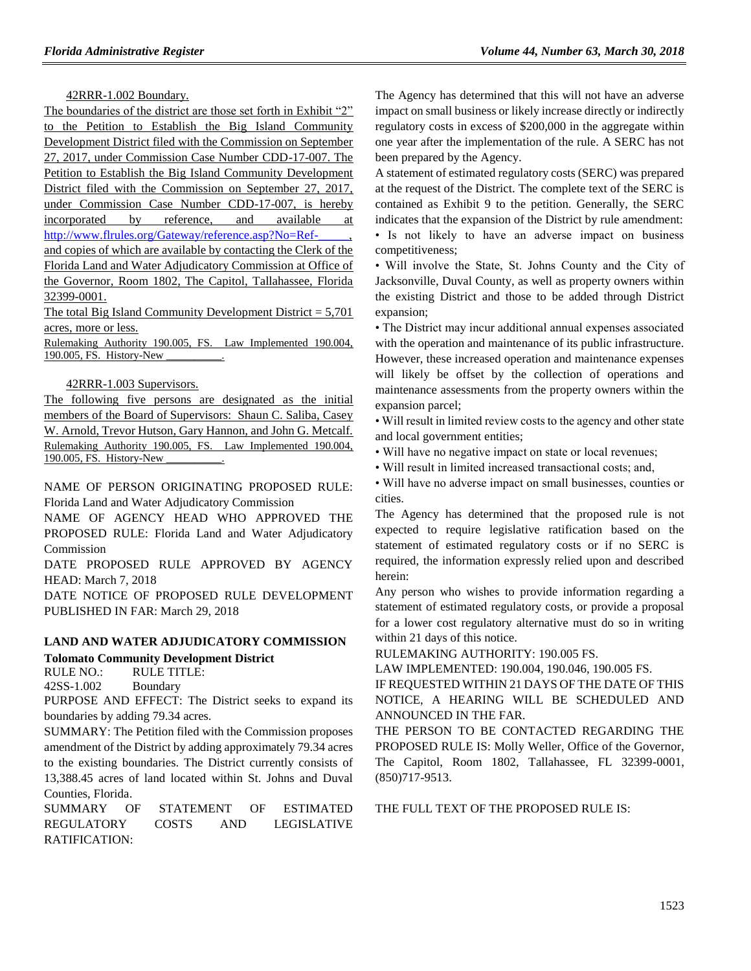42RRR-1.002 Boundary.

The boundaries of the district are those set forth in Exhibit "2" to the Petition to Establish the Big Island Community Development District filed with the Commission on September 27, 2017, under Commission Case Number CDD-17-007. The Petition to Establish the Big Island Community Development District filed with the Commission on September 27, 2017, under Commission Case Number CDD-17-007, is hereby incorporated by reference, and available at http://www.flrules.org/Gateway/reference.asp?No=Refand copies of which are available by contacting the Clerk of the Florida Land and Water Adjudicatory Commission at Office of the Governor, Room 1802, The Capitol, Tallahassee, Florida 32399-0001.

The total Big Island Community Development District  $= 5,701$ acres, more or less.

Rulemaking Authority 190.005, FS. Law Implemented 190.004, 190.005, FS. History-New

#### 42RRR-1.003 Supervisors.

The following five persons are designated as the initial members of the Board of Supervisors: Shaun C. Saliba, Casey W. Arnold, Trevor Hutson, Gary Hannon, and John G. Metcalf. Rulemaking Authority 190.005, FS. Law Implemented 190.004, 190.005, FS. History-New \_\_\_\_\_\_\_\_\_\_.

NAME OF PERSON ORIGINATING PROPOSED RULE: Florida Land and Water Adjudicatory Commission

NAME OF AGENCY HEAD WHO APPROVED THE PROPOSED RULE: Florida Land and Water Adjudicatory Commission

DATE PROPOSED RULE APPROVED BY AGENCY HEAD: March 7, 2018

DATE NOTICE OF PROPOSED RULE DEVELOPMENT PUBLISHED IN FAR: March 29, 2018

## **[LAND AND WATER ADJUDICATORY COMMISSION](https://www.flrules.org/gateway/department.asp?id=42) [Tolomato Community Development District](https://www.flrules.org/gateway/organization.asp?id=493)**

RULE NO.: RULE TITLE:

[42SS-1.002](https://www.flrules.org/gateway/ruleNo.asp?id=42SS-1.002) Boundary

PURPOSE AND EFFECT: The District seeks to expand its boundaries by adding 79.34 acres.

SUMMARY: The Petition filed with the Commission proposes amendment of the District by adding approximately 79.34 acres to the existing boundaries. The District currently consists of 13,388.45 acres of land located within St. Johns and Duval Counties, Florida.

SUMMARY OF STATEMENT OF ESTIMATED REGULATORY COSTS AND LEGISLATIVE RATIFICATION:

The Agency has determined that this will not have an adverse impact on small business or likely increase directly or indirectly regulatory costs in excess of \$200,000 in the aggregate within one year after the implementation of the rule. A SERC has not been prepared by the Agency.

A statement of estimated regulatory costs (SERC) was prepared at the request of the District. The complete text of the SERC is contained as Exhibit 9 to the petition. Generally, the SERC indicates that the expansion of the District by rule amendment: • Is not likely to have an adverse impact on business competitiveness;

• Will involve the State, St. Johns County and the City of Jacksonville, Duval County, as well as property owners within the existing District and those to be added through District expansion;

• The District may incur additional annual expenses associated with the operation and maintenance of its public infrastructure. However, these increased operation and maintenance expenses will likely be offset by the collection of operations and maintenance assessments from the property owners within the expansion parcel;

• Will result in limited review costs to the agency and other state and local government entities;

• Will have no negative impact on state or local revenues;

• Will result in limited increased transactional costs; and,

• Will have no adverse impact on small businesses, counties or cities.

The Agency has determined that the proposed rule is not expected to require legislative ratification based on the statement of estimated regulatory costs or if no SERC is required, the information expressly relied upon and described herein:

Any person who wishes to provide information regarding a statement of estimated regulatory costs, or provide a proposal for a lower cost regulatory alternative must do so in writing within 21 days of this notice.

RULEMAKING AUTHORITY: [190.005 FS.](https://www.flrules.org/gateway/statute.asp?id=190.005%20FS.)

LAW IMPLEMENTED: [190.004,](https://www.flrules.org/gateway/statute.asp?id=190.004) [190.046,](https://www.flrules.org/gateway/statute.asp?id=%20190.046) [190.005 FS.](https://www.flrules.org/gateway/statute.asp?id=%20190.005%20FS.)

IF REQUESTED WITHIN 21 DAYS OF THE DATE OF THIS NOTICE, A HEARING WILL BE SCHEDULED AND ANNOUNCED IN THE FAR.

THE PERSON TO BE CONTACTED REGARDING THE PROPOSED RULE IS: Molly Weller, Office of the Governor, The Capitol, Room 1802, Tallahassee, FL 32399-0001, (850)717-9513.

THE FULL TEXT OF THE PROPOSED RULE IS: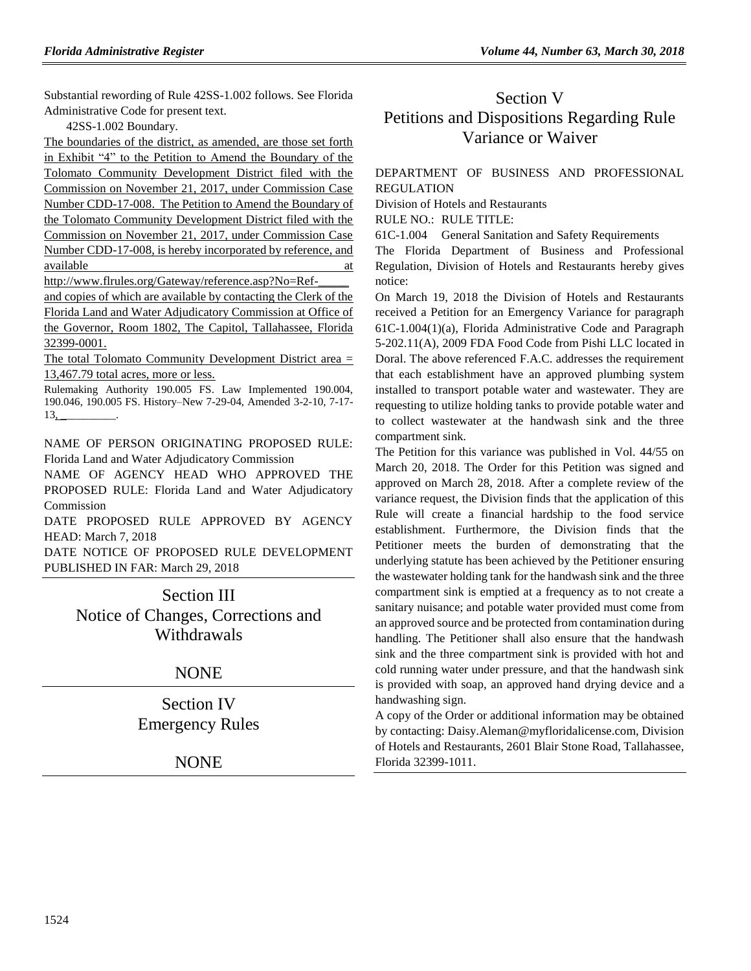Substantial rewording of Rule 42SS-1.002 follows. See Florida Administrative Code for present text.

42SS-1.002 Boundary.

The boundaries of the district, as amended, are those set forth in Exhibit "4" to the Petition to Amend the Boundary of the Tolomato Community Development District filed with the Commission on November 21, 2017, under Commission Case Number CDD-17-008. The Petition to Amend the Boundary of the Tolomato Community Development District filed with the Commission on November 21, 2017, under Commission Case Number CDD-17-008, is hereby incorporated by reference, and available at a state of  $\alpha$  at a state of  $\alpha$  at a state of  $\alpha$  at a state of  $\alpha$ 

http://www.flrules.org/Gateway/reference.asp?No=Ref-\_\_\_\_\_

and copies of which are available by contacting the Clerk of the Florida Land and Water Adjudicatory Commission at Office of the Governor, Room 1802, The Capitol, Tallahassee, Florida 32399-0001.

The total Tolomato Community Development District area = 13,467.79 total acres, more or less.

Rulemaking Authority 190.005 FS. Law Implemented 190.004, 190.046, 190.005 FS. History–New 7-29-04, Amended 3-2-10, 7-17-  $13, \_$ 

NAME OF PERSON ORIGINATING PROPOSED RULE: Florida Land and Water Adjudicatory Commission

NAME OF AGENCY HEAD WHO APPROVED THE PROPOSED RULE: Florida Land and Water Adjudicatory Commission

DATE PROPOSED RULE APPROVED BY AGENCY HEAD: March 7, 2018

DATE NOTICE OF PROPOSED RULE DEVELOPMENT PUBLISHED IN FAR: March 29, 2018

> Section III Notice of Changes, Corrections and Withdrawals

# NONE

Section IV Emergency Rules

**NONE** 

# Section V Petitions and Dispositions Regarding Rule Variance or Waiver

# [DEPARTMENT OF BUSINESS AND PROFESSIONAL](https://www.flrules.org/gateway/department.asp?id=61)  [REGULATION](https://www.flrules.org/gateway/department.asp?id=61)

[Division of Hotels and Restaurants](https://www.flrules.org/gateway/organization.asp?id=249)

RULE NO.: RULE TITLE:

[61C-1.004](https://www.flrules.org/gateway/ruleNo.asp?id=61C-1.004) General Sanitation and Safety Requirements

The Florida Department of Business and Professional Regulation, Division of Hotels and Restaurants hereby gives notice:

On March 19, 2018 the Division of Hotels and Restaurants received a Petition for an Emergency Variance for paragraph 61C-1.004(1)(a), Florida Administrative Code and Paragraph 5-202.11(A), 2009 FDA Food Code from Pishi LLC located in Doral. The above referenced F.A.C. addresses the requirement that each establishment have an approved plumbing system installed to transport potable water and wastewater. They are requesting to utilize holding tanks to provide potable water and to collect wastewater at the handwash sink and the three compartment sink.

The Petition for this variance was published in Vol. 44/55 on March 20, 2018. The Order for this Petition was signed and approved on March 28, 2018. After a complete review of the variance request, the Division finds that the application of this Rule will create a financial hardship to the food service establishment. Furthermore, the Division finds that the Petitioner meets the burden of demonstrating that the underlying statute has been achieved by the Petitioner ensuring the wastewater holding tank for the handwash sink and the three compartment sink is emptied at a frequency as to not create a sanitary nuisance; and potable water provided must come from an approved source and be protected from contamination during handling. The Petitioner shall also ensure that the handwash sink and the three compartment sink is provided with hot and cold running water under pressure, and that the handwash sink is provided with soap, an approved hand drying device and a handwashing sign.

A copy of the Order or additional information may be obtained by contacting: Daisy.Aleman@myfloridalicense.com, Division of Hotels and Restaurants, 2601 Blair Stone Road, Tallahassee, Florida 32399-1011.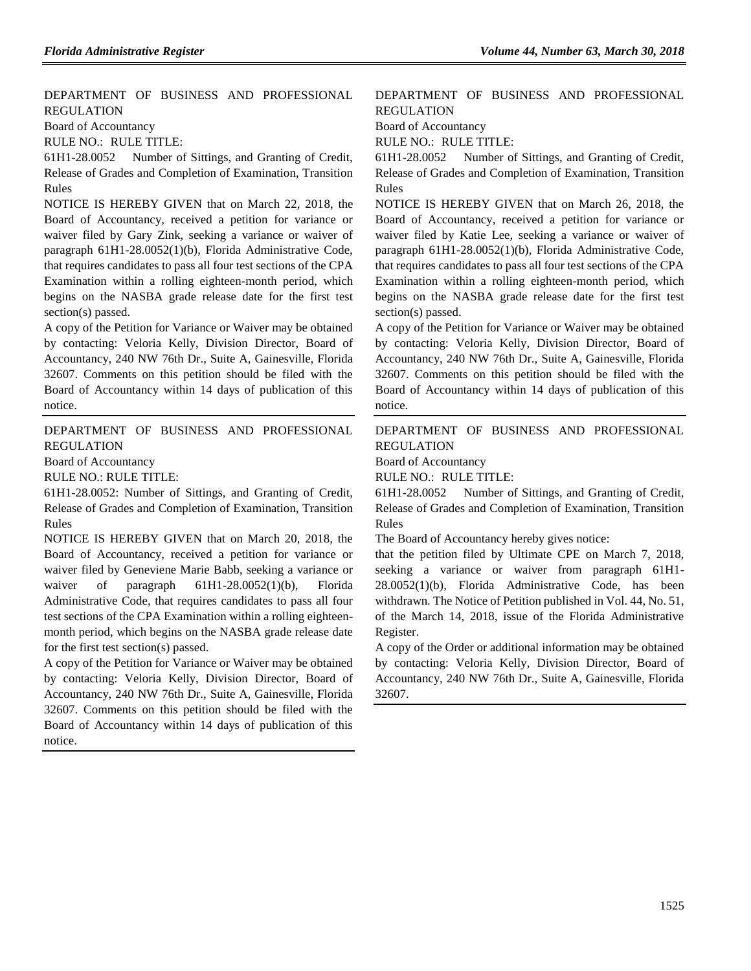[DEPARTMENT OF BUSINESS AND PROFESSIONAL](https://www.flrules.org/gateway/department.asp?id=61)  [REGULATION](https://www.flrules.org/gateway/department.asp?id=61)

[Board of Accountancy](https://www.flrules.org/gateway/organization.asp?id=280)

RULE NO.: RULE TITLE:

[61H1-28.0052](https://www.flrules.org/gateway/ruleNo.asp?id=61H1-28.0052) Number of Sittings, and Granting of Credit, Release of Grades and Completion of Examination, Transition Rules

NOTICE IS HEREBY GIVEN that on March 22, 2018, the Board of Accountancy, received a petition for variance or waiver filed by Gary Zink, seeking a variance or waiver of paragraph 61H1-28.0052(1)(b), Florida Administrative Code, that requires candidates to pass all four test sections of the CPA Examination within a rolling eighteen-month period, which begins on the NASBA grade release date for the first test section(s) passed.

A copy of the Petition for Variance or Waiver may be obtained by contacting: Veloria Kelly, Division Director, Board of Accountancy, 240 NW 76th Dr., Suite A, Gainesville, Florida 32607. Comments on this petition should be filed with the Board of Accountancy within 14 days of publication of this notice.

[DEPARTMENT OF BUSINESS AND PROFESSIONAL](https://www.flrules.org/gateway/department.asp?id=61)  [REGULATION](https://www.flrules.org/gateway/department.asp?id=61)

[Board of Accountancy](https://www.flrules.org/gateway/organization.asp?id=280)

RULE NO.: RULE TITLE:

[61H1-28.0052:](https://www.flrules.org/gateway/ruleNo.asp?id=61H1-28.0052) Number of Sittings, and Granting of Credit, Release of Grades and Completion of Examination, Transition Rules

NOTICE IS HEREBY GIVEN that on March 20, 2018, the Board of Accountancy, received a petition for variance or waiver filed by Geneviene Marie Babb, seeking a variance or waiver of paragraph 61H1-28.0052(1)(b), Florida Administrative Code, that requires candidates to pass all four test sections of the CPA Examination within a rolling eighteenmonth period, which begins on the NASBA grade release date for the first test section(s) passed.

A copy of the Petition for Variance or Waiver may be obtained by contacting: Veloria Kelly, Division Director, Board of Accountancy, 240 NW 76th Dr., Suite A, Gainesville, Florida 32607. Comments on this petition should be filed with the Board of Accountancy within 14 days of publication of this notice.

# [DEPARTMENT OF BUSINESS AND PROFESSIONAL](https://www.flrules.org/gateway/department.asp?id=61)  [REGULATION](https://www.flrules.org/gateway/department.asp?id=61)

[Board of Accountancy](https://www.flrules.org/gateway/organization.asp?id=280)

RULE NO.: RULE TITLE:

[61H1-28.0052](https://www.flrules.org/gateway/ruleNo.asp?id=61H1-28.0052) Number of Sittings, and Granting of Credit, Release of Grades and Completion of Examination, Transition Rules

NOTICE IS HEREBY GIVEN that on March 26, 2018, the Board of Accountancy, received a petition for variance or waiver filed by Katie Lee, seeking a variance or waiver of paragraph 61H1-28.0052(1)(b), Florida Administrative Code, that requires candidates to pass all four test sections of the CPA Examination within a rolling eighteen-month period, which begins on the NASBA grade release date for the first test section(s) passed.

A copy of the Petition for Variance or Waiver may be obtained by contacting: Veloria Kelly, Division Director, Board of Accountancy, 240 NW 76th Dr., Suite A, Gainesville, Florida 32607. Comments on this petition should be filed with the Board of Accountancy within 14 days of publication of this notice.

[DEPARTMENT OF BUSINESS AND PROFESSIONAL](https://www.flrules.org/gateway/department.asp?id=61)  [REGULATION](https://www.flrules.org/gateway/department.asp?id=61)

[Board of Accountancy](https://www.flrules.org/gateway/organization.asp?id=280)

RULE NO.: RULE TITLE:

[61H1-28.0052](https://www.flrules.org/gateway/ruleNo.asp?id=61H1-28.0052) Number of Sittings, and Granting of Credit, Release of Grades and Completion of Examination, Transition Rules

The Board of Accountancy hereby gives notice:

that the petition filed by Ultimate CPE on March 7, 2018, seeking a variance or waiver from paragraph 61H1- 28.0052(1)(b), Florida Administrative Code, has been withdrawn. The Notice of Petition published in Vol. 44, No. 51, of the March 14, 2018, issue of the Florida Administrative Register.

A copy of the Order or additional information may be obtained by contacting: Veloria Kelly, Division Director, Board of Accountancy, 240 NW 76th Dr., Suite A, Gainesville, Florida 32607.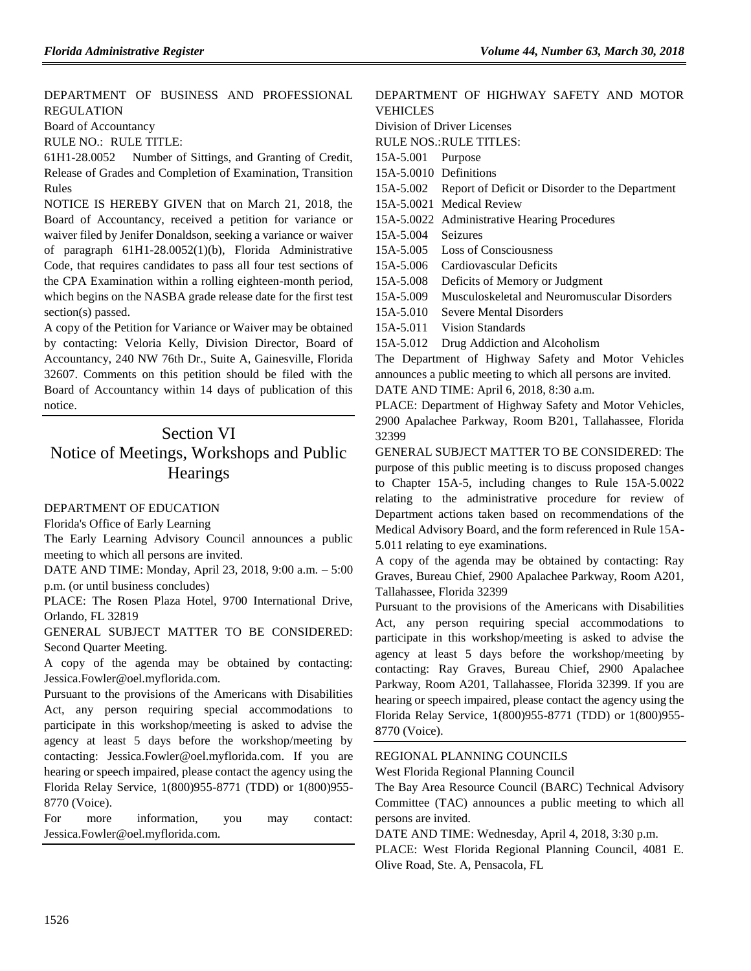[DEPARTMENT OF BUSINESS AND PROFESSIONAL](https://www.flrules.org/gateway/department.asp?id=61)  [REGULATION](https://www.flrules.org/gateway/department.asp?id=61)

[Board of Accountancy](https://www.flrules.org/gateway/organization.asp?id=280)

RULE NO.: RULE TITLE:

[61H1-28.0052](https://www.flrules.org/gateway/ruleNo.asp?id=61H1-28.0052) Number of Sittings, and Granting of Credit, Release of Grades and Completion of Examination, Transition Rules

NOTICE IS HEREBY GIVEN that on March 21, 2018, the Board of Accountancy, received a petition for variance or waiver filed by Jenifer Donaldson, seeking a variance or waiver of paragraph 61H1-28.0052(1)(b), Florida Administrative Code, that requires candidates to pass all four test sections of the CPA Examination within a rolling eighteen-month period, which begins on the NASBA grade release date for the first test section(s) passed.

A copy of the Petition for Variance or Waiver may be obtained by contacting: Veloria Kelly, Division Director, Board of Accountancy, 240 NW 76th Dr., Suite A, Gainesville, Florida 32607. Comments on this petition should be filed with the Board of Accountancy within 14 days of publication of this notice.

# Section VI Notice of Meetings, Workshops and Public **Hearings**

#### [DEPARTMENT OF EDUCATION](https://www.flrules.org/gateway/department.asp?id=6)

[Florida's Office of Early Learning](https://www.flrules.org/gateway/organization.asp?id=1044)

The Early Learning Advisory Council announces a public meeting to which all persons are invited.

DATE AND TIME: Monday, April 23, 2018, 9:00 a.m. – 5:00 p.m. (or until business concludes)

PLACE: The Rosen Plaza Hotel, 9700 International Drive, Orlando, FL 32819

GENERAL SUBJECT MATTER TO BE CONSIDERED: Second Quarter Meeting.

A copy of the agenda may be obtained by contacting: Jessica.Fowler@oel.myflorida.com.

Pursuant to the provisions of the Americans with Disabilities Act, any person requiring special accommodations to participate in this workshop/meeting is asked to advise the agency at least 5 days before the workshop/meeting by contacting: Jessica.Fowler@oel.myflorida.com. If you are hearing or speech impaired, please contact the agency using the Florida Relay Service, 1(800)955-8771 (TDD) or 1(800)955- 8770 (Voice).

For more information, you may contact: Jessica.Fowler@oel.myflorida.com.

## [DEPARTMENT OF HIGHWAY SAFETY AND MOTOR](https://www.flrules.org/gateway/department.asp?id=15)  [VEHICLES](https://www.flrules.org/gateway/department.asp?id=15) [Division of Driver Licenses](https://www.flrules.org/gateway/organization.asp?id=40)

RULE NOS.:RULE TITLES:

[15A-5.001](https://www.flrules.org/gateway/ruleNo.asp?id=15A-5.001) Purpose

[15A-5.0010](https://www.flrules.org/gateway/ruleNo.asp?id=15A-5.0010) Definitions

[15A-5.002](https://www.flrules.org/gateway/ruleNo.asp?id=15A-5.002) Report of Deficit or Disorder to the Department

[15A-5.0021](https://www.flrules.org/gateway/ruleNo.asp?id=15A-5.0021) Medical Review

[15A-5.0022](https://www.flrules.org/gateway/ruleNo.asp?id=15A-5.0022) Administrative Hearing Procedures

[15A-5.004](https://www.flrules.org/gateway/ruleNo.asp?id=15A-5.004) Seizures

[15A-5.005](https://www.flrules.org/gateway/ruleNo.asp?id=15A-5.005) Loss of Consciousness

[15A-5.006](https://www.flrules.org/gateway/ruleNo.asp?id=15A-5.006) Cardiovascular Deficits

[15A-5.008](https://www.flrules.org/gateway/ruleNo.asp?id=15A-5.008) Deficits of Memory or Judgment

[15A-5.009](https://www.flrules.org/gateway/ruleNo.asp?id=15A-5.009) Musculoskeletal and Neuromuscular Disorders

[15A-5.010](https://www.flrules.org/gateway/ruleNo.asp?id=15A-5.010) Severe Mental Disorders

[15A-5.011](https://www.flrules.org/gateway/ruleNo.asp?id=15A-5.011) Vision Standards

[15A-5.012](https://www.flrules.org/gateway/ruleNo.asp?id=15A-5.012) Drug Addiction and Alcoholism

The Department of Highway Safety and Motor Vehicles announces a public meeting to which all persons are invited. DATE AND TIME: April 6, 2018, 8:30 a.m.

PLACE: Department of Highway Safety and Motor Vehicles, 2900 Apalachee Parkway, Room B201, Tallahassee, Florida 32399

GENERAL SUBJECT MATTER TO BE CONSIDERED: The purpose of this public meeting is to discuss proposed changes to Chapter 15A-5, including changes to Rule 15A-5.0022 relating to the administrative procedure for review of Department actions taken based on recommendations of the Medical Advisory Board, and the form referenced in Rule 15A-5.011 relating to eye examinations.

A copy of the agenda may be obtained by contacting: Ray Graves, Bureau Chief, 2900 Apalachee Parkway, Room A201, Tallahassee, Florida 32399

Pursuant to the provisions of the Americans with Disabilities Act, any person requiring special accommodations to participate in this workshop/meeting is asked to advise the agency at least 5 days before the workshop/meeting by contacting: Ray Graves, Bureau Chief, 2900 Apalachee Parkway, Room A201, Tallahassee, Florida 32399. If you are hearing or speech impaired, please contact the agency using the Florida Relay Service, 1(800)955-8771 (TDD) or 1(800)955- 8770 (Voice).

#### [REGIONAL PLANNING COUNCILS](https://www.flrules.org/gateway/department.asp?id=29)

[West Florida Regional Planning Council](https://www.flrules.org/gateway/organization.asp?id=57)

The Bay Area Resource Council (BARC) Technical Advisory Committee (TAC) announces a public meeting to which all persons are invited.

DATE AND TIME: Wednesday, April 4, 2018, 3:30 p.m.

PLACE: West Florida Regional Planning Council, 4081 E. Olive Road, Ste. A, Pensacola, FL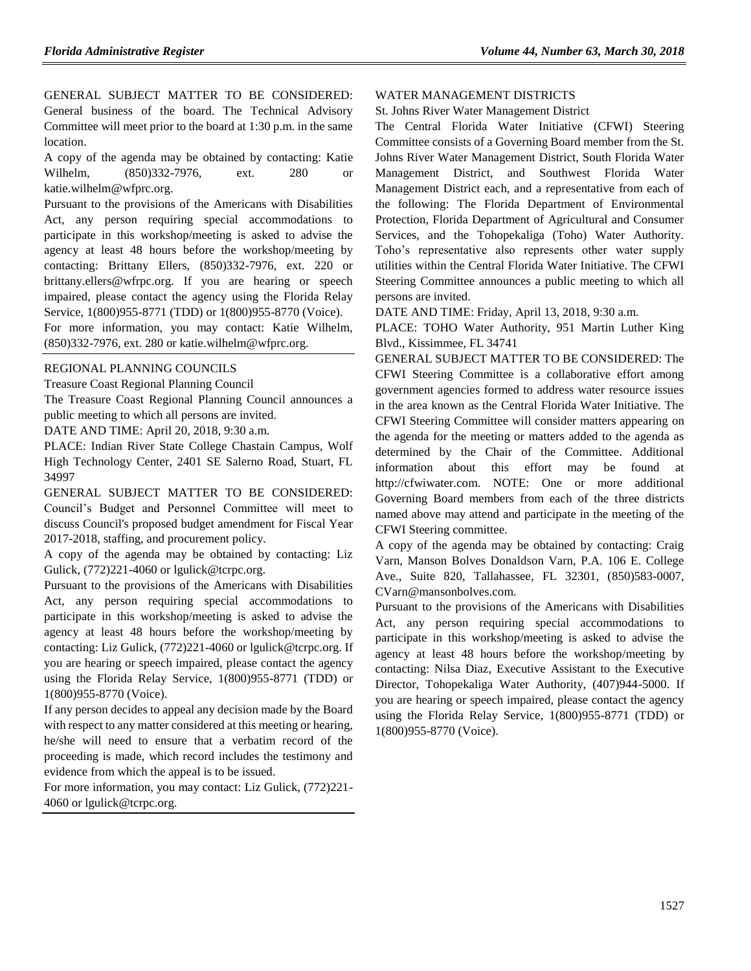GENERAL SUBJECT MATTER TO BE CONSIDERED: General business of the board. The Technical Advisory Committee will meet prior to the board at 1:30 p.m. in the same location.

A copy of the agenda may be obtained by contacting: Katie Wilhelm, (850)332-7976, ext. 280 or katie.wilhelm@wfprc.org.

Pursuant to the provisions of the Americans with Disabilities Act, any person requiring special accommodations to participate in this workshop/meeting is asked to advise the agency at least 48 hours before the workshop/meeting by contacting: Brittany Ellers, (850)332-7976, ext. 220 or brittany.ellers@wfrpc.org. If you are hearing or speech impaired, please contact the agency using the Florida Relay Service, 1(800)955-8771 (TDD) or 1(800)955-8770 (Voice).

For more information, you may contact: Katie Wilhelm, (850)332-7976, ext. 280 or katie.wilhelm@wfprc.org.

#### [REGIONAL PLANNING COUNCILS](https://www.flrules.org/gateway/department.asp?id=29)

[Treasure Coast Regional Planning Council](https://www.flrules.org/gateway/organization.asp?id=67)

The Treasure Coast Regional Planning Council announces a public meeting to which all persons are invited.

DATE AND TIME: April 20, 2018, 9:30 a.m.

PLACE: Indian River State College Chastain Campus, Wolf High Technology Center, 2401 SE Salerno Road, Stuart, FL 34997

GENERAL SUBJECT MATTER TO BE CONSIDERED: Council's Budget and Personnel Committee will meet to discuss Council's proposed budget amendment for Fiscal Year 2017-2018, staffing, and procurement policy.

A copy of the agenda may be obtained by contacting: Liz Gulick,  $(772)221-4060$  or lgulick@tcrpc.org.

Pursuant to the provisions of the Americans with Disabilities Act, any person requiring special accommodations to participate in this workshop/meeting is asked to advise the agency at least 48 hours before the workshop/meeting by contacting: Liz Gulick, (772)221-4060 or lgulick@tcrpc.org. If you are hearing or speech impaired, please contact the agency using the Florida Relay Service, 1(800)955-8771 (TDD) or 1(800)955-8770 (Voice).

If any person decides to appeal any decision made by the Board with respect to any matter considered at this meeting or hearing, he/she will need to ensure that a verbatim record of the proceeding is made, which record includes the testimony and evidence from which the appeal is to be issued.

For more information, you may contact: Liz Gulick, (772)221- 4060 or lgulick@tcrpc.org.

#### [WATER MANAGEMENT DISTRICTS](https://www.flrules.org/gateway/department.asp?id=40)

[St. Johns River Water Management District](https://www.flrules.org/gateway/organization.asp?id=122)

The Central Florida Water Initiative (CFWI) Steering Committee consists of a Governing Board member from the St. Johns River Water Management District, South Florida Water Management District, and Southwest Florida Water Management District each, and a representative from each of the following: The Florida Department of Environmental Protection, Florida Department of Agricultural and Consumer Services, and the Tohopekaliga (Toho) Water Authority. Toho's representative also represents other water supply utilities within the Central Florida Water Initiative. The CFWI Steering Committee announces a public meeting to which all persons are invited.

DATE AND TIME: Friday, April 13, 2018, 9:30 a.m.

PLACE: TOHO Water Authority, 951 Martin Luther King Blvd., Kissimmee, FL 34741

GENERAL SUBJECT MATTER TO BE CONSIDERED: The CFWI Steering Committee is a collaborative effort among government agencies formed to address water resource issues in the area known as the Central Florida Water Initiative. The CFWI Steering Committee will consider matters appearing on the agenda for the meeting or matters added to the agenda as determined by the Chair of the Committee. Additional information about this effort may be found at http://cfwiwater.com. NOTE: One or more additional Governing Board members from each of the three districts named above may attend and participate in the meeting of the CFWI Steering committee.

A copy of the agenda may be obtained by contacting: Craig Varn, Manson Bolves Donaldson Varn, P.A. 106 E. College Ave., Suite 820, Tallahassee, FL 32301, (850)583-0007, CVarn@mansonbolves.com.

Pursuant to the provisions of the Americans with Disabilities Act, any person requiring special accommodations to participate in this workshop/meeting is asked to advise the agency at least 48 hours before the workshop/meeting by contacting: Nilsa Diaz, Executive Assistant to the Executive Director, Tohopekaliga Water Authority, (407)944-5000. If you are hearing or speech impaired, please contact the agency using the Florida Relay Service, 1(800)955-8771 (TDD) or 1(800)955-8770 (Voice).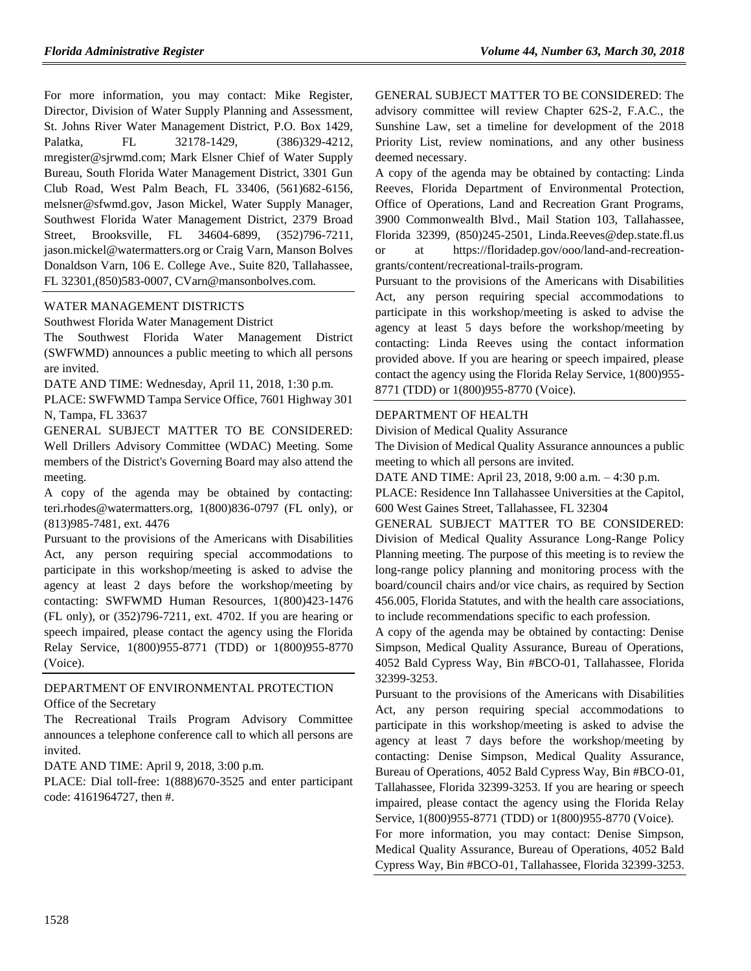For more information, you may contact: Mike Register, Director, Division of Water Supply Planning and Assessment, St. Johns River Water Management District, P.O. Box 1429, Palatka, FL 32178-1429, (386)329-4212, mregister@sjrwmd.com; Mark Elsner Chief of Water Supply Bureau, South Florida Water Management District, 3301 Gun Club Road, West Palm Beach, FL 33406, (561)682-6156, melsner@sfwmd.gov, Jason Mickel, Water Supply Manager, Southwest Florida Water Management District, 2379 Broad Street, Brooksville, FL 34604-6899, (352)796-7211, jason.mickel@watermatters.org or Craig Varn, Manson Bolves Donaldson Varn, 106 E. College Ave., Suite 820, Tallahassee, FL 32301,(850)583-0007, CVarn@mansonbolves.com.

### [WATER MANAGEMENT DISTRICTS](https://www.flrules.org/gateway/department.asp?id=40)

[Southwest Florida Water Management District](https://www.flrules.org/gateway/organization.asp?id=123)

The Southwest Florida Water Management District (SWFWMD) announces a public meeting to which all persons are invited.

DATE AND TIME: Wednesday, April 11, 2018, 1:30 p.m.

PLACE: SWFWMD Tampa Service Office, 7601 Highway 301 N, Tampa, FL 33637

GENERAL SUBJECT MATTER TO BE CONSIDERED: Well Drillers Advisory Committee (WDAC) Meeting. Some members of the District's Governing Board may also attend the meeting.

A copy of the agenda may be obtained by contacting: teri.rhodes@watermatters.org, 1(800)836-0797 (FL only), or (813)985-7481, ext. 4476

Pursuant to the provisions of the Americans with Disabilities Act, any person requiring special accommodations to participate in this workshop/meeting is asked to advise the agency at least 2 days before the workshop/meeting by contacting: SWFWMD Human Resources, 1(800)423-1476 (FL only), or (352)796-7211, ext. 4702. If you are hearing or speech impaired, please contact the agency using the Florida Relay Service, 1(800)955-8771 (TDD) or 1(800)955-8770 (Voice).

### [DEPARTMENT OF ENVIRONMENTAL PROTECTION](https://www.flrules.org/gateway/department.asp?id=62) [Office of the Secretary](https://www.flrules.org/gateway/organization.asp?id=294)

The Recreational Trails Program Advisory Committee announces a telephone conference call to which all persons are invited.

DATE AND TIME: April 9, 2018, 3:00 p.m.

PLACE: Dial toll-free: 1(888)670-3525 and enter participant code: 4161964727, then #.

GENERAL SUBJECT MATTER TO BE CONSIDERED: The advisory committee will review Chapter 62S-2, F.A.C., the Sunshine Law, set a timeline for development of the 2018 Priority List, review nominations, and any other business deemed necessary.

A copy of the agenda may be obtained by contacting: Linda Reeves, Florida Department of Environmental Protection, Office of Operations, Land and Recreation Grant Programs, 3900 Commonwealth Blvd., Mail Station 103, Tallahassee, Florida 32399, (850)245-2501, Linda.Reeves@dep.state.fl.us or at https://floridadep.gov/ooo/land-and-recreationgrants/content/recreational-trails-program.

Pursuant to the provisions of the Americans with Disabilities Act, any person requiring special accommodations to participate in this workshop/meeting is asked to advise the agency at least 5 days before the workshop/meeting by contacting: Linda Reeves using the contact information provided above. If you are hearing or speech impaired, please contact the agency using the Florida Relay Service, 1(800)955- 8771 (TDD) or 1(800)955-8770 (Voice).

#### [DEPARTMENT OF HEALTH](https://www.flrules.org/gateway/department.asp?id=64)

[Division of Medical Quality Assurance](https://www.flrules.org/gateway/organization.asp?id=299)

The Division of Medical Quality Assurance announces a public meeting to which all persons are invited.

DATE AND TIME: April 23, 2018, 9:00 a.m. – 4:30 p.m.

PLACE: Residence Inn Tallahassee Universities at the Capitol, 600 West Gaines Street, Tallahassee, FL 32304

GENERAL SUBJECT MATTER TO BE CONSIDERED: Division of Medical Quality Assurance Long-Range Policy Planning meeting. The purpose of this meeting is to review the long-range policy planning and monitoring process with the board/council chairs and/or vice chairs, as required by Section 456.005, Florida Statutes, and with the health care associations, to include recommendations specific to each profession.

A copy of the agenda may be obtained by contacting: Denise Simpson, Medical Quality Assurance, Bureau of Operations, 4052 Bald Cypress Way, Bin #BCO-01, Tallahassee, Florida 32399-3253.

Pursuant to the provisions of the Americans with Disabilities Act, any person requiring special accommodations to participate in this workshop/meeting is asked to advise the agency at least 7 days before the workshop/meeting by contacting: Denise Simpson, Medical Quality Assurance, Bureau of Operations, 4052 Bald Cypress Way, Bin #BCO-01, Tallahassee, Florida 32399-3253. If you are hearing or speech impaired, please contact the agency using the Florida Relay Service, 1(800)955-8771 (TDD) or 1(800)955-8770 (Voice).

For more information, you may contact: Denise Simpson, Medical Quality Assurance, Bureau of Operations, 4052 Bald Cypress Way, Bin #BCO-01, Tallahassee, Florida 32399-3253.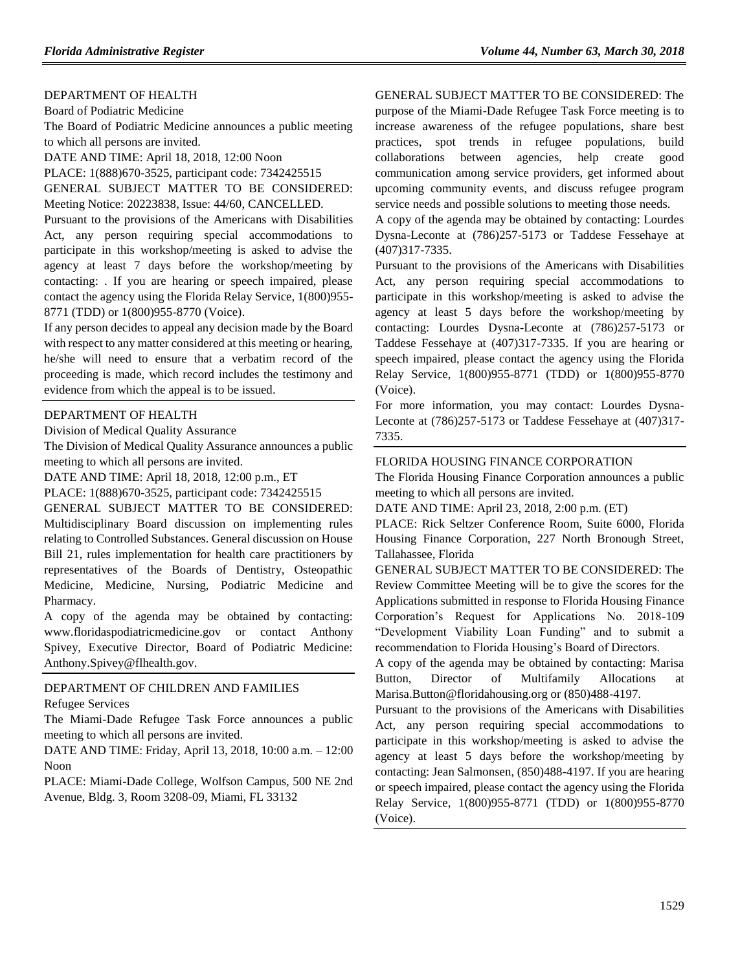### [DEPARTMENT OF HEALTH](https://www.flrules.org/gateway/department.asp?id=64)

[Board of Podiatric Medicine](https://www.flrules.org/gateway/organization.asp?id=309)

The Board of Podiatric Medicine announces a public meeting to which all persons are invited.

DATE AND TIME: April 18, 2018, 12:00 Noon

PLACE: 1(888)670-3525, participant code: 7342425515

GENERAL SUBJECT MATTER TO BE CONSIDERED: Meeting Notice: 20223838, Issue: 44/60, CANCELLED.

Pursuant to the provisions of the Americans with Disabilities Act, any person requiring special accommodations to participate in this workshop/meeting is asked to advise the agency at least 7 days before the workshop/meeting by contacting: . If you are hearing or speech impaired, please contact the agency using the Florida Relay Service, 1(800)955- 8771 (TDD) or 1(800)955-8770 (Voice).

If any person decides to appeal any decision made by the Board with respect to any matter considered at this meeting or hearing, he/she will need to ensure that a verbatim record of the proceeding is made, which record includes the testimony and evidence from which the appeal is to be issued.

#### [DEPARTMENT OF HEALTH](https://www.flrules.org/gateway/department.asp?id=64)

Division of Medical Quality Assurance

The Division of Medical Quality Assurance announces a public meeting to which all persons are invited.

DATE AND TIME: April 18, 2018, 12:00 p.m., ET

PLACE: 1(888)670-3525, participant code: 7342425515

GENERAL SUBJECT MATTER TO BE CONSIDERED: Multidisciplinary Board discussion on implementing rules relating to Controlled Substances. General discussion on House Bill 21, rules implementation for health care practitioners by representatives of the Boards of Dentistry, Osteopathic Medicine, Medicine, Nursing, Podiatric Medicine and Pharmacy.

A copy of the agenda may be obtained by contacting: [www.floridaspodiatricmedicine.gov](http://www.floridaspodiatricmedicine.gov/) or contact Anthony Spivey, Executive Director, Board of Podiatric Medicine: Anthony.Spivey@flhealth.gov.

#### [DEPARTMENT OF CHILDREN AND FAMILIES](https://www.flrules.org/gateway/department.asp?id=65) [Refugee Services](https://www.flrules.org/gateway/organization.asp?id=528)

The Miami-Dade Refugee Task Force announces a public meeting to which all persons are invited.

DATE AND TIME: Friday, April 13, 2018, 10:00 a.m. – 12:00 Noon

PLACE: Miami-Dade College, Wolfson Campus, 500 NE 2nd Avenue, Bldg. 3, Room 3208-09, Miami, FL 33132

GENERAL SUBJECT MATTER TO BE CONSIDERED: The purpose of the Miami-Dade Refugee Task Force meeting is to increase awareness of the refugee populations, share best

practices, spot trends in refugee populations, build collaborations between agencies, help create good communication among service providers, get informed about upcoming community events, and discuss refugee program service needs and possible solutions to meeting those needs.

A copy of the agenda may be obtained by contacting: Lourdes Dysna-Leconte at (786)257-5173 or Taddese Fessehaye at (407)317-7335.

Pursuant to the provisions of the Americans with Disabilities Act, any person requiring special accommodations to participate in this workshop/meeting is asked to advise the agency at least 5 days before the workshop/meeting by contacting: Lourdes Dysna-Leconte at (786)257-5173 or Taddese Fessehaye at (407)317-7335. If you are hearing or speech impaired, please contact the agency using the Florida Relay Service, 1(800)955-8771 (TDD) or 1(800)955-8770 (Voice).

For more information, you may contact: Lourdes Dysna-Leconte at (786)257-5173 or Taddese Fessehaye at (407)317- 7335.

#### [FLORIDA HOUSING FINANCE CORPORATION](https://www.flrules.org/gateway/department.asp?id=67)

The Florida Housing Finance Corporation announces a public meeting to which all persons are invited.

DATE AND TIME: April 23, 2018, 2:00 p.m. (ET)

PLACE: Rick Seltzer Conference Room, Suite 6000, Florida Housing Finance Corporation, 227 North Bronough Street, Tallahassee, Florida

GENERAL SUBJECT MATTER TO BE CONSIDERED: The Review Committee Meeting will be to give the scores for the Applications submitted in response to Florida Housing Finance Corporation's Request for Applications No. 2018-109 "Development Viability Loan Funding" and to submit a recommendation to Florida Housing's Board of Directors.

A copy of the agenda may be obtained by contacting: Marisa Button, Director of Multifamily Allocations at Marisa.Button@floridahousing.org or (850)488-4197.

Pursuant to the provisions of the Americans with Disabilities Act, any person requiring special accommodations to participate in this workshop/meeting is asked to advise the agency at least 5 days before the workshop/meeting by contacting: Jean Salmonsen, (850)488-4197. If you are hearing or speech impaired, please contact the agency using the Florida Relay Service, 1(800)955-8771 (TDD) or 1(800)955-8770 (Voice).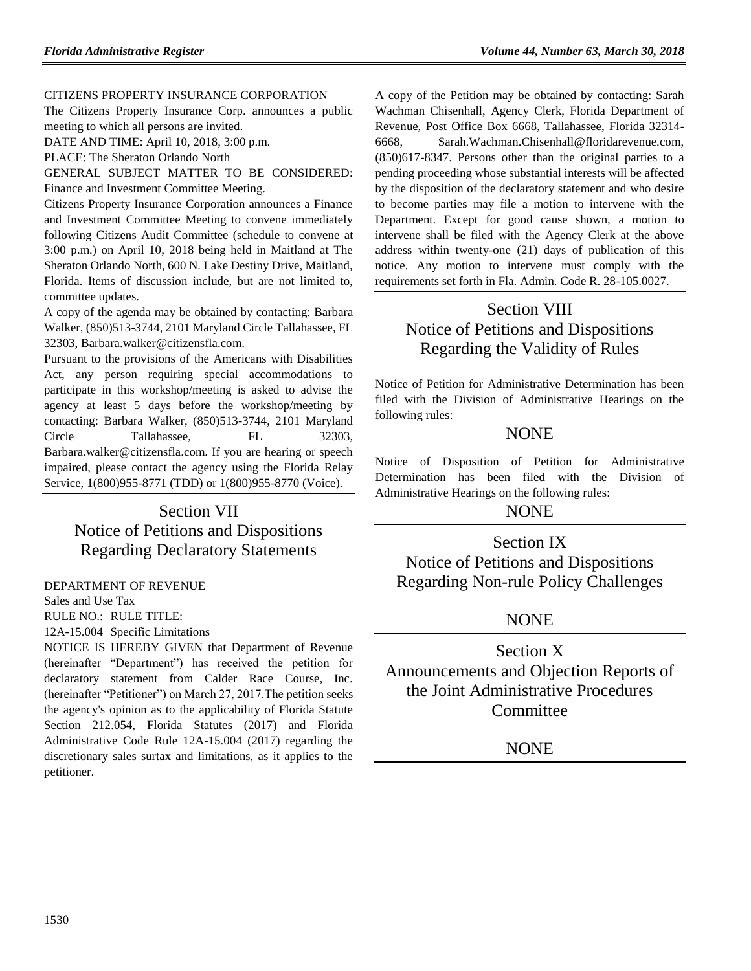#### [CITIZENS PROPERTY INSURANCE CORPORATION](https://www.flrules.org/gateway/organization.asp?id=591)

The Citizens Property Insurance Corp. announces a public meeting to which all persons are invited.

DATE AND TIME: April 10, 2018, 3:00 p.m.

PLACE: The Sheraton Orlando North

GENERAL SUBJECT MATTER TO BE CONSIDERED: Finance and Investment Committee Meeting.

Citizens Property Insurance Corporation announces a Finance and Investment Committee Meeting to convene immediately following Citizens Audit Committee (schedule to convene at 3:00 p.m.) on April 10, 2018 being held in Maitland at The Sheraton Orlando North, 600 N. Lake Destiny Drive, Maitland, Florida. Items of discussion include, but are not limited to, committee updates.

A copy of the agenda may be obtained by contacting: Barbara Walker, (850)513-3744, 2101 Maryland Circle Tallahassee, FL 32303, Barbara.walker@citizensfla.com.

Pursuant to the provisions of the Americans with Disabilities Act, any person requiring special accommodations to participate in this workshop/meeting is asked to advise the agency at least 5 days before the workshop/meeting by contacting: Barbara Walker, (850)513-3744, 2101 Maryland Circle Tallahassee, FL 32303, Barbara.walker@citizensfla.com. If you are hearing or speech impaired, please contact the agency using the Florida Relay Service, 1(800)955-8771 (TDD) or 1(800)955-8770 (Voice).

# Section VII Notice of Petitions and Dispositions Regarding Declaratory Statements

#### [DEPARTMENT OF REVENUE](https://www.flrules.org/gateway/department.asp?id=12)

[Sales and Use Tax](https://www.flrules.org/gateway/organization.asp?id=33)

RULE NO.: RULE TITLE:

[12A-15.004](https://www.flrules.org/gateway/ruleNo.asp?id=12A-15.004) Specific Limitations

NOTICE IS HEREBY GIVEN that Department of Revenue (hereinafter "Department") has received the petition for declaratory statement from Calder Race Course, Inc. (hereinafter "Petitioner") on March 27, 2017.The petition seeks the agency's opinion as to the applicability of Florida Statute Section 212.054, Florida Statutes (2017) and Florida Administrative Code Rule 12A-15.004 (2017) regarding the discretionary sales surtax and limitations, as it applies to the petitioner.

A copy of the Petition may be obtained by contacting: Sarah Wachman Chisenhall, Agency Clerk, Florida Department of Revenue, Post Office Box 6668, Tallahassee, Florida 32314- 6668, Sarah.Wachman.Chisenhall@floridarevenue.com, (850)617-8347. Persons other than the original parties to a pending proceeding whose substantial interests will be affected by the disposition of the declaratory statement and who desire to become parties may file a motion to intervene with the Department. Except for good cause shown, a motion to intervene shall be filed with the Agency Clerk at the above address within twenty-one (21) days of publication of this notice. Any motion to intervene must comply with the requirements set forth in Fla. Admin. Code R. 28-105.0027.

# Section VIII Notice of Petitions and Dispositions Regarding the Validity of Rules

Notice of Petition for Administrative Determination has been filed with the Division of Administrative Hearings on the following rules:

# **NONE**

Notice of Disposition of Petition for Administrative Determination has been filed with the Division of Administrative Hearings on the following rules:

# **NONE**

# Section IX

Notice of Petitions and Dispositions Regarding Non-rule Policy Challenges

# **NONE**

Section X Announcements and Objection Reports of the Joint Administrative Procedures **Committee** 

# NONE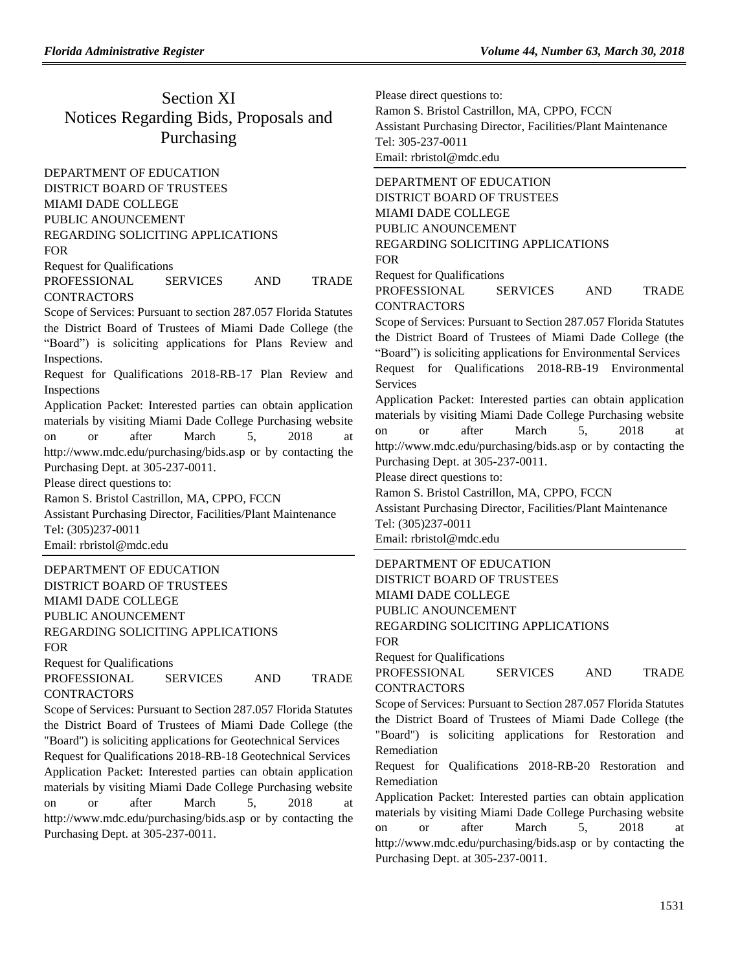# Section XI Notices Regarding Bids, Proposals and Purchasing

[DEPARTMENT OF EDUCATION](https://www.flrules.org/gateway/department.asp?id=6) DISTRICT BOARD OF TRUSTEES MIAMI DADE COLLEGE PUBLIC ANOUNCEMENT REGARDING SOLICITING APPLICATIONS FOR Request for Qualifications

# PROFESSIONAL SERVICES AND TRADE **CONTRACTORS**

Scope of Services: Pursuant to section 287.057 Florida Statutes the District Board of Trustees of Miami Dade College (the "Board") is soliciting applications for Plans Review and Inspections.

Request for Qualifications 2018-RB-17 Plan Review and Inspections

Application Packet: Interested parties can obtain application materials by visiting Miami Dade College Purchasing website on or after March 5, 2018 at <http://www.mdc.edu/purchasing/bids.asp> or by contacting the Purchasing Dept. at 305-237-0011.

Please direct questions to:

Ramon S. Bristol Castrillon, MA, CPPO, FCCN Assistant Purchasing Director, Facilities/Plant Maintenance Tel: (305)237-0011 Email: [rbristol@mdc.edu](mailto:rbristol@mdc.edu)

[DEPARTMENT OF EDUCATION](https://www.flrules.org/gateway/department.asp?id=6) DISTRICT BOARD OF TRUSTEES MIAMI DADE COLLEGE PUBLIC ANOUNCEMENT REGARDING SOLICITING APPLICATIONS FOR

Request for Qualifications

PROFESSIONAL SERVICES AND TRADE **CONTRACTORS** 

Scope of Services: Pursuant to Section 287.057 Florida Statutes the District Board of Trustees of Miami Dade College (the "Board") is soliciting applications for Geotechnical Services Request for Qualifications 2018-RB-18 Geotechnical Services Application Packet: Interested parties can obtain application materials by visiting Miami Dade College Purchasing website on or after March 5, 2018 at

<http://www.mdc.edu/purchasing/bids.asp> or by contacting the Purchasing Dept. at 305-237-0011.

Please direct questions to: Ramon S. Bristol Castrillon, MA, CPPO, FCCN Assistant Purchasing Director, Facilities/Plant Maintenance Tel: 305-237-0011 Email: [rbristol@mdc.edu](mailto:rbristol@mdc.edu)

[DEPARTMENT OF EDUCATION](https://www.flrules.org/gateway/department.asp?id=6) DISTRICT BOARD OF TRUSTEES MIAMI DADE COLLEGE PUBLIC ANOUNCEMENT REGARDING SOLICITING APPLICATIONS FOR Request for Qualifications PROFESSIONAL SERVICES AND TRADE

**CONTRACTORS** 

Scope of Services: Pursuant to Section 287.057 Florida Statutes the District Board of Trustees of Miami Dade College (the "Board") is soliciting applications for Environmental Services Request for Qualifications 2018-RB-19 Environmental Services

Application Packet: Interested parties can obtain application materials by visiting Miami Dade College Purchasing website on or after March 5, 2018 at <http://www.mdc.edu/purchasing/bids.asp> or by contacting the Purchasing Dept. at 305-237-0011.

Please direct questions to:

Ramon S. Bristol Castrillon, MA, CPPO, FCCN

Assistant Purchasing Director, Facilities/Plant Maintenance Tel: (305)237-0011

Email: [rbristol@mdc.edu](mailto:rbristol@mdc.edu)

[DEPARTMENT OF EDUCATION](https://www.flrules.org/gateway/department.asp?id=6) DISTRICT BOARD OF TRUSTEES MIAMI DADE COLLEGE PUBLIC ANOUNCEMENT REGARDING SOLICITING APPLICATIONS FOR Request for Qualifications

PROFESSIONAL SERVICES AND TRADE CONTRACTORS

Scope of Services: Pursuant to Section 287.057 Florida Statutes the District Board of Trustees of Miami Dade College (the "Board") is soliciting applications for Restoration and Remediation

Request for Qualifications 2018-RB-20 Restoration and Remediation

Application Packet: Interested parties can obtain application materials by visiting Miami Dade College Purchasing website on or after March 5, 2018 at <http://www.mdc.edu/purchasing/bids.asp> or by contacting the Purchasing Dept. at 305-237-0011.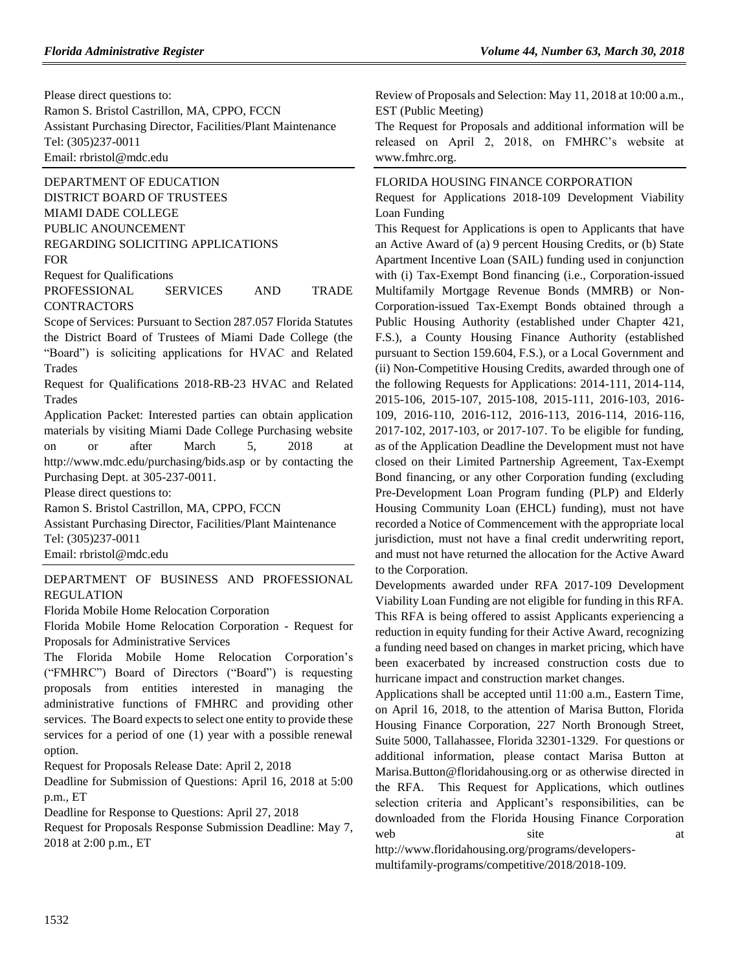Please direct questions to: Ramon S. Bristol Castrillon, MA, CPPO, FCCN Assistant Purchasing Director, Facilities/Plant Maintenance Tel: (305)237-0011 Email: [rbristol@mdc.edu](mailto:rbristol@mdc.edu)

[DEPARTMENT OF EDUCATION](https://www.flrules.org/gateway/department.asp?id=6) DISTRICT BOARD OF TRUSTEES MIAMI DADE COLLEGE PUBLIC ANOUNCEMENT REGARDING SOLICITING APPLICATIONS FOR Request for Qualifications

PROFESSIONAL SERVICES AND TRADE CONTRACTORS

Scope of Services: Pursuant to Section 287.057 Florida Statutes the District Board of Trustees of Miami Dade College (the "Board") is soliciting applications for HVAC and Related Trades

Request for Qualifications 2018-RB-23 HVAC and Related Trades

Application Packet: Interested parties can obtain application materials by visiting Miami Dade College Purchasing website on or after March 5, 2018 at <http://www.mdc.edu/purchasing/bids.asp> or by contacting the Purchasing Dept. at 305-237-0011.

Please direct questions to:

Ramon S. Bristol Castrillon, MA, CPPO, FCCN

Assistant Purchasing Director, Facilities/Plant Maintenance Tel: (305)237-0011

Email: [rbristol@mdc.edu](mailto:rbristol@mdc.edu)

[DEPARTMENT OF BUSINESS AND PROFESSIONAL](https://www.flrules.org/gateway/department.asp?id=61)  [REGULATION](https://www.flrules.org/gateway/department.asp?id=61)

[Florida Mobile Home Relocation Corporation](https://www.flrules.org/gateway/organization.asp?id=505)

Florida Mobile Home Relocation Corporation - Request for Proposals for Administrative Services

The Florida Mobile Home Relocation Corporation's ("FMHRC") Board of Directors ("Board") is requesting proposals from entities interested in managing the administrative functions of FMHRC and providing other services. The Board expects to select one entity to provide these services for a period of one (1) year with a possible renewal option.

Request for Proposals Release Date: April 2, 2018

Deadline for Submission of Questions: April 16, 2018 at 5:00 p.m., ET

Deadline for Response to Questions: April 27, 2018

Request for Proposals Response Submission Deadline: May 7, 2018 at 2:00 p.m., ET

Review of Proposals and Selection: May 11, 2018 at 10:00 a.m., EST (Public Meeting)

The Request for Proposals and additional information will be released on April 2, 2018, on FMHRC's website at www.fmhrc.org.

# [FLORIDA HOUSING FINANCE CORPORATION](https://www.flrules.org/gateway/department.asp?id=67)

Request for Applications 2018-109 Development Viability Loan Funding

This Request for Applications is open to Applicants that have an Active Award of (a) 9 percent Housing Credits, or (b) State Apartment Incentive Loan (SAIL) funding used in conjunction with (i) Tax-Exempt Bond financing (i.e., Corporation-issued Multifamily Mortgage Revenue Bonds (MMRB) or Non-Corporation-issued Tax-Exempt Bonds obtained through a Public Housing Authority (established under Chapter 421, F.S.), a County Housing Finance Authority (established pursuant to Section 159.604, F.S.), or a Local Government and (ii) Non-Competitive Housing Credits, awarded through one of the following Requests for Applications: 2014-111, 2014-114, 2015-106, 2015-107, 2015-108, 2015-111, 2016-103, 2016- 109, 2016-110, 2016-112, 2016-113, 2016-114, 2016-116, 2017-102, 2017-103, or 2017-107. To be eligible for funding, as of the Application Deadline the Development must not have closed on their Limited Partnership Agreement, Tax-Exempt Bond financing, or any other Corporation funding (excluding Pre-Development Loan Program funding (PLP) and Elderly Housing Community Loan (EHCL) funding), must not have recorded a Notice of Commencement with the appropriate local jurisdiction, must not have a final credit underwriting report, and must not have returned the allocation for the Active Award to the Corporation.

Developments awarded under RFA 2017-109 Development Viability Loan Funding are not eligible for funding in this RFA. This RFA is being offered to assist Applicants experiencing a reduction in equity funding for their Active Award, recognizing a funding need based on changes in market pricing, which have been exacerbated by increased construction costs due to hurricane impact and construction market changes.

Applications shall be accepted until 11:00 a.m., Eastern Time, on April 16, 2018, to the attention of Marisa Button, Florida Housing Finance Corporation, 227 North Bronough Street, Suite 5000, Tallahassee, Florida 32301-1329. For questions or additional information, please contact Marisa Button at Marisa.Button@floridahousing.org or as otherwise directed in the RFA. This Request for Applications, which outlines selection criteria and Applicant's responsibilities, can be downloaded from the Florida Housing Finance Corporation web site at http://www.floridahousing.org/programs/developers-

multifamily-programs/competitive/2018/2018-109.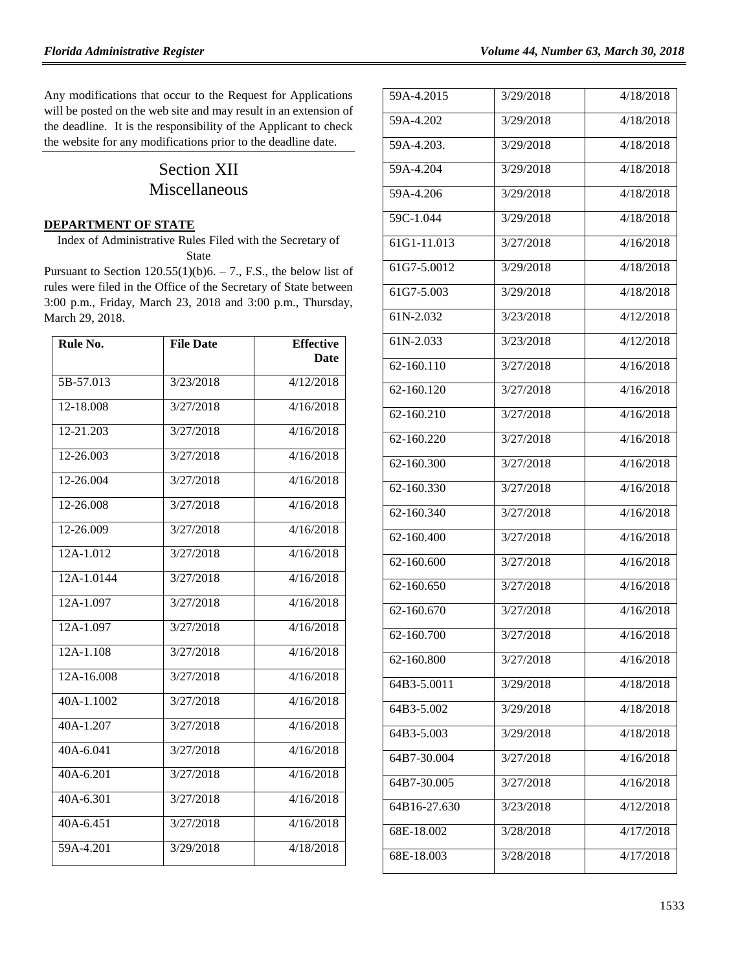Any modifications that occur to the Request for Applications will be posted on the web site and may result in an extension of the deadline. It is the responsibility of the Applicant to check the website for any modifications prior to the deadline date.

# Section XII Miscellaneous

#### **[DEPARTMENT OF STATE](https://www.flrules.org/gateway/department.asp?id=1)**

Index of Administrative Rules Filed with the Secretary of State

Pursuant to Section  $120.55(1)(b)6. - 7$ ., F.S., the below list of rules were filed in the Office of the Secretary of State between 3:00 p.m., Friday, March 23, 2018 and 3:00 p.m., Thursday, March 29, 2018.

| Rule No.      | <b>File Date</b> | <b>Effective</b> |
|---------------|------------------|------------------|
|               |                  | Date             |
| 5B-57.013     | 3/23/2018        | 4/12/2018        |
| 12-18.008     | 3/27/2018        | 4/16/2018        |
| 12-21.203     | 3/27/2018        | 4/16/2018        |
| 12-26.003     | 3/27/2018        | 4/16/2018        |
| 12-26.004     | 3/27/2018        | 4/16/2018        |
| 12-26.008     | 3/27/2018        | 4/16/2018        |
| 12-26.009     | 3/27/2018        | 4/16/2018        |
| 12A-1.012     | 3/27/2018        | 4/16/2018        |
| 12A-1.0144    | 3/27/2018        | 4/16/2018        |
| 12A-1.097     | 3/27/2018        | 4/16/2018        |
| 12A-1.097     | 3/27/2018        | 4/16/2018        |
| 12A-1.108     | 3/27/2018        | 4/16/2018        |
| 12A-16.008    | 3/27/2018        | 4/16/2018        |
| 40A-1.1002    | 3/27/2018        | 4/16/2018        |
| $40A-1.207$   | 3/27/2018        | 4/16/2018        |
| $40A - 6.041$ | 3/27/2018        | 4/16/2018        |
| 40A-6.201     | 3/27/2018        | 4/16/2018        |
| 40A-6.301     | 3/27/2018        | 4/16/2018        |
| 40A-6.451     | 3/27/2018        | 4/16/2018        |
| 59A-4.201     | 3/29/2018        | 4/18/2018        |

| 59A-4.2015               | 3/29/2018 | 4/18/2018 |
|--------------------------|-----------|-----------|
| 59A-4.202                | 3/29/2018 | 4/18/2018 |
| 59A-4.203.               | 3/29/2018 | 4/18/2018 |
| 59A-4.204                | 3/29/2018 | 4/18/2018 |
| 59A-4.206                | 3/29/2018 | 4/18/2018 |
| 59C-1.044                | 3/29/2018 | 4/18/2018 |
| 61G1-11.013              | 3/27/2018 | 4/16/2018 |
| 61G7-5.0012              | 3/29/2018 | 4/18/2018 |
| 61G7-5.003               | 3/29/2018 | 4/18/2018 |
| 61N-2.032                | 3/23/2018 | 4/12/2018 |
| 61N-2.033                | 3/23/2018 | 4/12/2018 |
| 62-160.110               | 3/27/2018 | 4/16/2018 |
| 62-160.120               | 3/27/2018 | 4/16/2018 |
| 62-160.210               | 3/27/2018 | 4/16/2018 |
| 62-160.220               | 3/27/2018 | 4/16/2018 |
| 62-160.300               | 3/27/2018 | 4/16/2018 |
| 62-160.330               | 3/27/2018 | 4/16/2018 |
| 62-160.340               | 3/27/2018 | 4/16/2018 |
| 62-160.400               | 3/27/2018 | 4/16/2018 |
| 62-160.600               | 3/27/2018 | 4/16/2018 |
| 62-160.650               | 3/27/2018 | 4/16/2018 |
| $\overline{62}$ -160.670 | 3/27/2018 | 4/16/2018 |
| 62-160.700               | 3/27/2018 | 4/16/2018 |
| 62-160.800               | 3/27/2018 | 4/16/2018 |
| 64B3-5.0011              | 3/29/2018 | 4/18/2018 |
| 64B3-5.002               | 3/29/2018 | 4/18/2018 |
| 64B3-5.003               | 3/29/2018 | 4/18/2018 |
| 64B7-30.004              | 3/27/2018 | 4/16/2018 |
| 64B7-30.005              | 3/27/2018 | 4/16/2018 |
| 64B16-27.630             | 3/23/2018 | 4/12/2018 |
| 68E-18.002               | 3/28/2018 | 4/17/2018 |
| 68E-18.003               | 3/28/2018 | 4/17/2018 |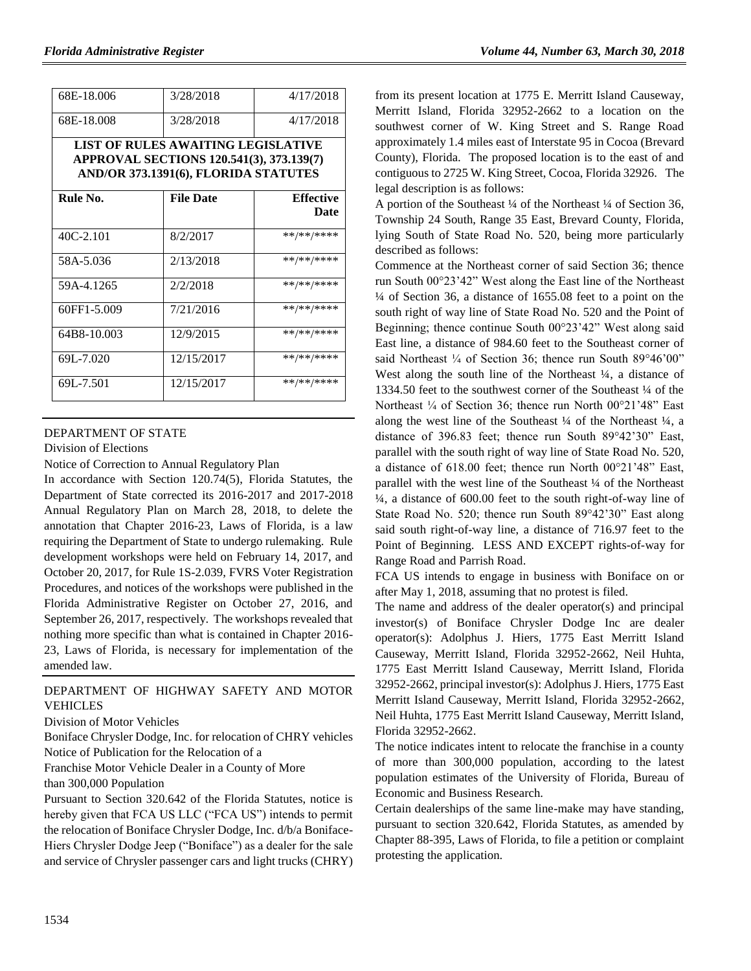| 68E-18.006  | 3/28/2018                                                                                                              | 4/17/2018        |
|-------------|------------------------------------------------------------------------------------------------------------------------|------------------|
| 68E-18.008  | 3/28/2018                                                                                                              | 4/17/2018        |
|             | LIST OF RULES AWAITING LEGISLATIVE<br>APPROVAL SECTIONS 120.541(3), 373.139(7)<br>AND/OR 373.1391(6), FLORIDA STATUTES |                  |
| Rule No.    | <b>File Date</b>                                                                                                       | <b>Effective</b> |
|             |                                                                                                                        | Date             |
| $40C-2.101$ | 8/2/2017                                                                                                               | **/**/****       |
| 58A-5.036   | 2/13/2018                                                                                                              | **/**/****       |
| 59A-4.1265  | 2/2/2018                                                                                                               | **/**/****       |
| 60FF1-5.009 | 7/21/2016                                                                                                              | **/**/****       |
| 64B8-10.003 | 12/9/2015                                                                                                              | **/**/****       |
| 69L-7.020   | 12/15/2017                                                                                                             | **/**/****       |
| 69L-7.501   | 12/15/2017                                                                                                             | **/**/****       |

#### [DEPARTMENT OF STATE](https://www.flrules.org/gateway/department.asp?id=1)

[Division of Elections](https://www.flrules.org/gateway/organization.asp?id=16)

Notice of Correction to Annual Regulatory Plan

In accordance with Section 120.74(5), Florida Statutes, the Department of State corrected its 2016-2017 and 2017-2018 Annual Regulatory Plan on March 28, 2018, to delete the annotation that Chapter 2016-23, Laws of Florida, is a law requiring the Department of State to undergo rulemaking. Rule development workshops were held on February 14, 2017, and October 20, 2017, for Rule 1S-2.039, FVRS Voter Registration Procedures, and notices of the workshops were published in the Florida Administrative Register on October 27, 2016, and September 26, 2017, respectively. The workshops revealed that nothing more specific than what is contained in Chapter 2016- 23, Laws of Florida, is necessary for implementation of the amended law.

## [DEPARTMENT OF HIGHWAY SAFETY AND MOTOR](https://www.flrules.org/gateway/department.asp?id=15)  [VEHICLES](https://www.flrules.org/gateway/department.asp?id=15)

#### [Division of Motor Vehicles](https://www.flrules.org/gateway/organization.asp?id=42)

Boniface Chrysler Dodge, Inc. for relocation of CHRY vehicles Notice of Publication for the Relocation of a

Franchise Motor Vehicle Dealer in a County of More

### than 300,000 Population

Pursuant to Section 320.642 of the Florida Statutes, notice is hereby given that FCA US LLC ("FCA US") intends to permit the relocation of Boniface Chrysler Dodge, Inc. d/b/a Boniface-Hiers Chrysler Dodge Jeep ("Boniface") as a dealer for the sale and service of Chrysler passenger cars and light trucks (CHRY) from its present location at 1775 E. Merritt Island Causeway, Merritt Island, Florida 32952-2662 to a location on the southwest corner of W. King Street and S. Range Road approximately 1.4 miles east of Interstate 95 in Cocoa (Brevard County), Florida. The proposed location is to the east of and contiguous to 2725 W. King Street, Cocoa, Florida 32926. The legal description is as follows:

A portion of the Southeast ¼ of the Northeast ¼ of Section 36, Township 24 South, Range 35 East, Brevard County, Florida, lying South of State Road No. 520, being more particularly described as follows:

Commence at the Northeast corner of said Section 36; thence run South 00°23'42" West along the East line of the Northeast ¼ of Section 36, a distance of 1655.08 feet to a point on the south right of way line of State Road No. 520 and the Point of Beginning; thence continue South 00°23'42" West along said East line, a distance of 984.60 feet to the Southeast corner of said Northeast ¼ of Section 36; thence run South 89°46'00" West along the south line of the Northeast  $\frac{1}{4}$ , a distance of 1334.50 feet to the southwest corner of the Southeast ¼ of the Northeast <sup>1</sup>/<sub>4</sub> of Section 36; thence run North 00°21'48" East along the west line of the Southeast  $\frac{1}{4}$  of the Northeast  $\frac{1}{4}$ , a distance of 396.83 feet; thence run South 89°42'30" East, parallel with the south right of way line of State Road No. 520, a distance of 618.00 feet; thence run North 00°21'48" East, parallel with the west line of the Southeast ¼ of the Northeast ¼, a distance of 600.00 feet to the south right-of-way line of State Road No. 520; thence run South 89°42'30" East along said south right-of-way line, a distance of 716.97 feet to the Point of Beginning. LESS AND EXCEPT rights-of-way for Range Road and Parrish Road.

FCA US intends to engage in business with Boniface on or after May 1, 2018, assuming that no protest is filed.

The name and address of the dealer operator(s) and principal investor(s) of Boniface Chrysler Dodge Inc are dealer operator(s): Adolphus J. Hiers, 1775 East Merritt Island Causeway, Merritt Island, Florida 32952-2662, Neil Huhta, 1775 East Merritt Island Causeway, Merritt Island, Florida 32952-2662, principal investor(s): Adolphus J. Hiers, 1775 East Merritt Island Causeway, Merritt Island, Florida 32952-2662, Neil Huhta, 1775 East Merritt Island Causeway, Merritt Island, Florida 32952-2662.

The notice indicates intent to relocate the franchise in a county of more than 300,000 population, according to the latest population estimates of the University of Florida, Bureau of Economic and Business Research.

Certain dealerships of the same line-make may have standing, pursuant to section 320.642, Florida Statutes, as amended by Chapter 88-395, Laws of Florida, to file a petition or complaint protesting the application.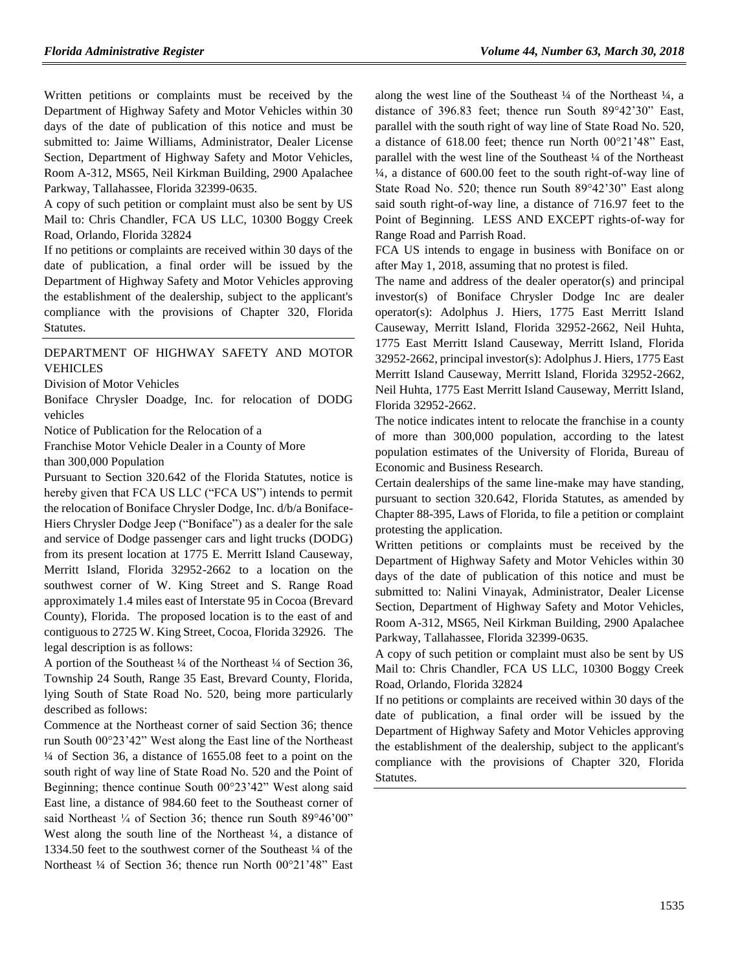Written petitions or complaints must be received by the Department of Highway Safety and Motor Vehicles within 30 days of the date of publication of this notice and must be submitted to: Jaime Williams, Administrator, Dealer License Section, Department of Highway Safety and Motor Vehicles, Room A-312, MS65, Neil Kirkman Building, 2900 Apalachee Parkway, Tallahassee, Florida 32399-0635.

A copy of such petition or complaint must also be sent by US Mail to: Chris Chandler, FCA US LLC, 10300 Boggy Creek Road, Orlando, Florida 32824

If no petitions or complaints are received within 30 days of the date of publication, a final order will be issued by the Department of Highway Safety and Motor Vehicles approving the establishment of the dealership, subject to the applicant's compliance with the provisions of Chapter 320, Florida Statutes.

#### [DEPARTMENT OF HIGHWAY SAFETY AND MOTOR](https://www.flrules.org/gateway/department.asp?id=15)  [VEHICLES](https://www.flrules.org/gateway/department.asp?id=15)

[Division of Motor Vehicles](https://www.flrules.org/gateway/organization.asp?id=42)

Boniface Chrysler Doadge, Inc. for relocation of DODG vehicles

Notice of Publication for the Relocation of a

Franchise Motor Vehicle Dealer in a County of More than 300,000 Population

Pursuant to Section 320.642 of the Florida Statutes, notice is hereby given that FCA US LLC ("FCA US") intends to permit the relocation of Boniface Chrysler Dodge, Inc. d/b/a Boniface-Hiers Chrysler Dodge Jeep ("Boniface") as a dealer for the sale and service of Dodge passenger cars and light trucks (DODG) from its present location at 1775 E. Merritt Island Causeway, Merritt Island, Florida 32952-2662 to a location on the southwest corner of W. King Street and S. Range Road approximately 1.4 miles east of Interstate 95 in Cocoa (Brevard County), Florida. The proposed location is to the east of and contiguous to 2725 W. King Street, Cocoa, Florida 32926. The legal description is as follows:

A portion of the Southeast ¼ of the Northeast ¼ of Section 36, Township 24 South, Range 35 East, Brevard County, Florida, lying South of State Road No. 520, being more particularly described as follows:

Commence at the Northeast corner of said Section 36; thence run South 00°23'42" West along the East line of the Northeast ¼ of Section 36, a distance of 1655.08 feet to a point on the south right of way line of State Road No. 520 and the Point of Beginning; thence continue South 00°23'42" West along said East line, a distance of 984.60 feet to the Southeast corner of said Northeast ¼ of Section 36; thence run South 89°46'00" West along the south line of the Northeast ¼, a distance of 1334.50 feet to the southwest corner of the Southeast ¼ of the Northeast ¼ of Section 36; thence run North 00°21'48" East along the west line of the Southeast  $\frac{1}{4}$  of the Northeast  $\frac{1}{4}$ , a distance of 396.83 feet; thence run South 89°42'30" East, parallel with the south right of way line of State Road No. 520, a distance of 618.00 feet; thence run North 00°21'48" East, parallel with the west line of the Southeast ¼ of the Northeast ¼, a distance of 600.00 feet to the south right-of-way line of State Road No. 520; thence run South 89°42'30" East along said south right-of-way line, a distance of 716.97 feet to the Point of Beginning. LESS AND EXCEPT rights-of-way for Range Road and Parrish Road.

FCA US intends to engage in business with Boniface on or after May 1, 2018, assuming that no protest is filed.

The name and address of the dealer operator(s) and principal investor(s) of Boniface Chrysler Dodge Inc are dealer operator(s): Adolphus J. Hiers, 1775 East Merritt Island Causeway, Merritt Island, Florida 32952-2662, Neil Huhta, 1775 East Merritt Island Causeway, Merritt Island, Florida 32952-2662, principal investor(s): Adolphus J. Hiers, 1775 East Merritt Island Causeway, Merritt Island, Florida 32952-2662, Neil Huhta, 1775 East Merritt Island Causeway, Merritt Island, Florida 32952-2662.

The notice indicates intent to relocate the franchise in a county of more than 300,000 population, according to the latest population estimates of the University of Florida, Bureau of Economic and Business Research.

Certain dealerships of the same line-make may have standing, pursuant to section 320.642, Florida Statutes, as amended by Chapter 88-395, Laws of Florida, to file a petition or complaint protesting the application.

Written petitions or complaints must be received by the Department of Highway Safety and Motor Vehicles within 30 days of the date of publication of this notice and must be submitted to: Nalini Vinayak, Administrator, Dealer License Section, Department of Highway Safety and Motor Vehicles, Room A-312, MS65, Neil Kirkman Building, 2900 Apalachee Parkway, Tallahassee, Florida 32399-0635.

A copy of such petition or complaint must also be sent by US Mail to: Chris Chandler, FCA US LLC, 10300 Boggy Creek Road, Orlando, Florida 32824

If no petitions or complaints are received within 30 days of the date of publication, a final order will be issued by the Department of Highway Safety and Motor Vehicles approving the establishment of the dealership, subject to the applicant's compliance with the provisions of Chapter 320, Florida Statutes.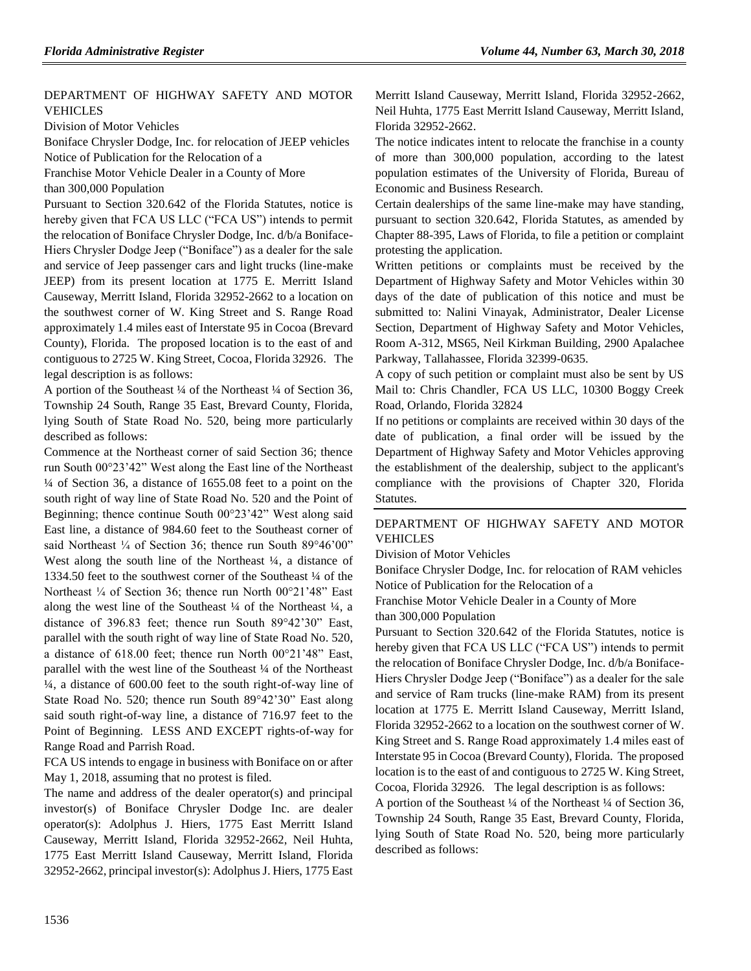## [DEPARTMENT OF HIGHWAY SAFETY AND MOTOR](https://www.flrules.org/gateway/department.asp?id=15)  [VEHICLES](https://www.flrules.org/gateway/department.asp?id=15)

[Division of Motor Vehicles](https://www.flrules.org/gateway/organization.asp?id=42)

Boniface Chrysler Dodge, Inc. for relocation of JEEP vehicles Notice of Publication for the Relocation of a

Franchise Motor Vehicle Dealer in a County of More

than 300,000 Population

Pursuant to Section 320.642 of the Florida Statutes, notice is hereby given that FCA US LLC ("FCA US") intends to permit the relocation of Boniface Chrysler Dodge, Inc. d/b/a Boniface-Hiers Chrysler Dodge Jeep ("Boniface") as a dealer for the sale and service of Jeep passenger cars and light trucks (line-make JEEP) from its present location at 1775 E. Merritt Island Causeway, Merritt Island, Florida 32952-2662 to a location on the southwest corner of W. King Street and S. Range Road approximately 1.4 miles east of Interstate 95 in Cocoa (Brevard County), Florida. The proposed location is to the east of and contiguous to 2725 W. King Street, Cocoa, Florida 32926. The legal description is as follows:

A portion of the Southeast ¼ of the Northeast ¼ of Section 36, Township 24 South, Range 35 East, Brevard County, Florida, lying South of State Road No. 520, being more particularly described as follows:

Commence at the Northeast corner of said Section 36; thence run South 00°23'42" West along the East line of the Northeast ¼ of Section 36, a distance of 1655.08 feet to a point on the south right of way line of State Road No. 520 and the Point of Beginning; thence continue South 00°23'42" West along said East line, a distance of 984.60 feet to the Southeast corner of said Northeast <sup>1/4</sup> of Section 36; thence run South 89°46'00" West along the south line of the Northeast ¼, a distance of 1334.50 feet to the southwest corner of the Southeast ¼ of the Northeast ¼ of Section 36; thence run North 00°21'48" East along the west line of the Southeast  $\frac{1}{4}$  of the Northeast  $\frac{1}{4}$ , a distance of 396.83 feet; thence run South 89°42'30" East, parallel with the south right of way line of State Road No. 520, a distance of 618.00 feet; thence run North 00°21'48" East, parallel with the west line of the Southeast ¼ of the Northeast ¼, a distance of 600.00 feet to the south right-of-way line of State Road No. 520; thence run South 89°42'30" East along said south right-of-way line, a distance of 716.97 feet to the Point of Beginning. LESS AND EXCEPT rights-of-way for Range Road and Parrish Road.

FCA US intends to engage in business with Boniface on or after May 1, 2018, assuming that no protest is filed.

The name and address of the dealer operator(s) and principal investor(s) of Boniface Chrysler Dodge Inc. are dealer operator(s): Adolphus J. Hiers, 1775 East Merritt Island Causeway, Merritt Island, Florida 32952-2662, Neil Huhta, 1775 East Merritt Island Causeway, Merritt Island, Florida 32952-2662, principal investor(s): Adolphus J. Hiers, 1775 East Merritt Island Causeway, Merritt Island, Florida 32952-2662, Neil Huhta, 1775 East Merritt Island Causeway, Merritt Island, Florida 32952-2662.

The notice indicates intent to relocate the franchise in a county of more than 300,000 population, according to the latest population estimates of the University of Florida, Bureau of Economic and Business Research.

Certain dealerships of the same line-make may have standing, pursuant to section 320.642, Florida Statutes, as amended by Chapter 88-395, Laws of Florida, to file a petition or complaint protesting the application.

Written petitions or complaints must be received by the Department of Highway Safety and Motor Vehicles within 30 days of the date of publication of this notice and must be submitted to: Nalini Vinayak, Administrator, Dealer License Section, Department of Highway Safety and Motor Vehicles, Room A-312, MS65, Neil Kirkman Building, 2900 Apalachee Parkway, Tallahassee, Florida 32399-0635.

A copy of such petition or complaint must also be sent by US Mail to: Chris Chandler, FCA US LLC, 10300 Boggy Creek Road, Orlando, Florida 32824

If no petitions or complaints are received within 30 days of the date of publication, a final order will be issued by the Department of Highway Safety and Motor Vehicles approving the establishment of the dealership, subject to the applicant's compliance with the provisions of Chapter 320, Florida Statutes.

## [DEPARTMENT OF HIGHWAY SAFETY AND MOTOR](https://www.flrules.org/gateway/department.asp?id=15)  [VEHICLES](https://www.flrules.org/gateway/department.asp?id=15)

[Division of Motor Vehicles](https://www.flrules.org/gateway/organization.asp?id=42)

Boniface Chrysler Dodge, Inc. for relocation of RAM vehicles Notice of Publication for the Relocation of a

Franchise Motor Vehicle Dealer in a County of More

than 300,000 Population

Pursuant to Section 320.642 of the Florida Statutes, notice is hereby given that FCA US LLC ("FCA US") intends to permit the relocation of Boniface Chrysler Dodge, Inc. d/b/a Boniface-Hiers Chrysler Dodge Jeep ("Boniface") as a dealer for the sale and service of Ram trucks (line-make RAM) from its present location at 1775 E. Merritt Island Causeway, Merritt Island, Florida 32952-2662 to a location on the southwest corner of W. King Street and S. Range Road approximately 1.4 miles east of Interstate 95 in Cocoa (Brevard County), Florida. The proposed location is to the east of and contiguous to 2725 W. King Street, Cocoa, Florida 32926. The legal description is as follows:

A portion of the Southeast ¼ of the Northeast ¼ of Section 36, Township 24 South, Range 35 East, Brevard County, Florida, lying South of State Road No. 520, being more particularly described as follows: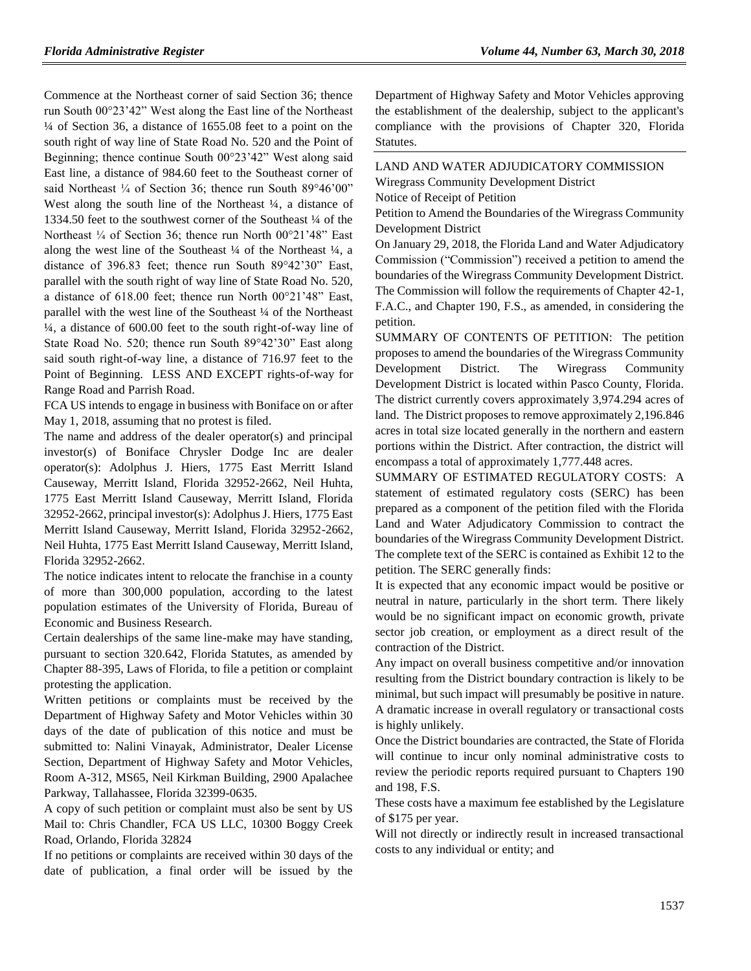Commence at the Northeast corner of said Section 36; thence run South 00°23'42" West along the East line of the Northeast ¼ of Section 36, a distance of 1655.08 feet to a point on the south right of way line of State Road No. 520 and the Point of Beginning; thence continue South 00°23'42" West along said East line, a distance of 984.60 feet to the Southeast corner of said Northeast <sup>1/4</sup> of Section 36; thence run South 89°46'00" West along the south line of the Northeast ¼, a distance of 1334.50 feet to the southwest corner of the Southeast ¼ of the Northeast ¼ of Section 36; thence run North 00°21'48" East along the west line of the Southeast  $\frac{1}{4}$  of the Northeast  $\frac{1}{4}$ , a distance of 396.83 feet; thence run South 89°42'30" East, parallel with the south right of way line of State Road No. 520, a distance of 618.00 feet; thence run North 00°21'48" East, parallel with the west line of the Southeast ¼ of the Northeast ¼, a distance of 600.00 feet to the south right-of-way line of State Road No. 520; thence run South 89°42'30" East along said south right-of-way line, a distance of 716.97 feet to the Point of Beginning. LESS AND EXCEPT rights-of-way for Range Road and Parrish Road.

FCA US intends to engage in business with Boniface on or after May 1, 2018, assuming that no protest is filed.

The name and address of the dealer operator(s) and principal investor(s) of Boniface Chrysler Dodge Inc are dealer operator(s): Adolphus J. Hiers, 1775 East Merritt Island Causeway, Merritt Island, Florida 32952-2662, Neil Huhta, 1775 East Merritt Island Causeway, Merritt Island, Florida 32952-2662, principal investor(s): Adolphus J. Hiers, 1775 East Merritt Island Causeway, Merritt Island, Florida 32952-2662, Neil Huhta, 1775 East Merritt Island Causeway, Merritt Island, Florida 32952-2662.

The notice indicates intent to relocate the franchise in a county of more than 300,000 population, according to the latest population estimates of the University of Florida, Bureau of Economic and Business Research.

Certain dealerships of the same line-make may have standing, pursuant to section 320.642, Florida Statutes, as amended by Chapter 88-395, Laws of Florida, to file a petition or complaint protesting the application.

Written petitions or complaints must be received by the Department of Highway Safety and Motor Vehicles within 30 days of the date of publication of this notice and must be submitted to: Nalini Vinayak, Administrator, Dealer License Section, Department of Highway Safety and Motor Vehicles, Room A-312, MS65, Neil Kirkman Building, 2900 Apalachee Parkway, Tallahassee, Florida 32399-0635.

A copy of such petition or complaint must also be sent by US Mail to: Chris Chandler, FCA US LLC, 10300 Boggy Creek Road, Orlando, Florida 32824

If no petitions or complaints are received within 30 days of the date of publication, a final order will be issued by the

Department of Highway Safety and Motor Vehicles approving the establishment of the dealership, subject to the applicant's compliance with the provisions of Chapter 320, Florida Statutes.

[LAND AND WATER ADJUDICATORY COMMISSION](https://www.flrules.org/gateway/department.asp?id=42) [Wiregrass Community Development District](https://www.flrules.org/gateway/organization.asp?id=838) Notice of Receipt of Petition

Petition to Amend the Boundaries of the Wiregrass Community Development District

On January 29, 2018, the Florida Land and Water Adjudicatory Commission ("Commission") received a petition to amend the boundaries of the Wiregrass Community Development District. The Commission will follow the requirements of Chapter 42-1, F.A.C., and Chapter 190, F.S., as amended, in considering the petition.

SUMMARY OF CONTENTS OF PETITION: The petition proposes to amend the boundaries of the Wiregrass Community Development District. The Wiregrass Community Development District is located within Pasco County, Florida. The district currently covers approximately 3,974.294 acres of land. The District proposes to remove approximately 2,196.846 acres in total size located generally in the northern and eastern portions within the District. After contraction, the district will encompass a total of approximately 1,777.448 acres.

SUMMARY OF ESTIMATED REGULATORY COSTS: A statement of estimated regulatory costs (SERC) has been prepared as a component of the petition filed with the Florida Land and Water Adjudicatory Commission to contract the boundaries of the Wiregrass Community Development District. The complete text of the SERC is contained as Exhibit 12 to the petition. The SERC generally finds:

It is expected that any economic impact would be positive or neutral in nature, particularly in the short term. There likely would be no significant impact on economic growth, private sector job creation, or employment as a direct result of the contraction of the District.

Any impact on overall business competitive and/or innovation resulting from the District boundary contraction is likely to be minimal, but such impact will presumably be positive in nature. A dramatic increase in overall regulatory or transactional costs is highly unlikely.

Once the District boundaries are contracted, the State of Florida will continue to incur only nominal administrative costs to review the periodic reports required pursuant to Chapters 190 and 198, F.S.

These costs have a maximum fee established by the Legislature of \$175 per year.

Will not directly or indirectly result in increased transactional costs to any individual or entity; and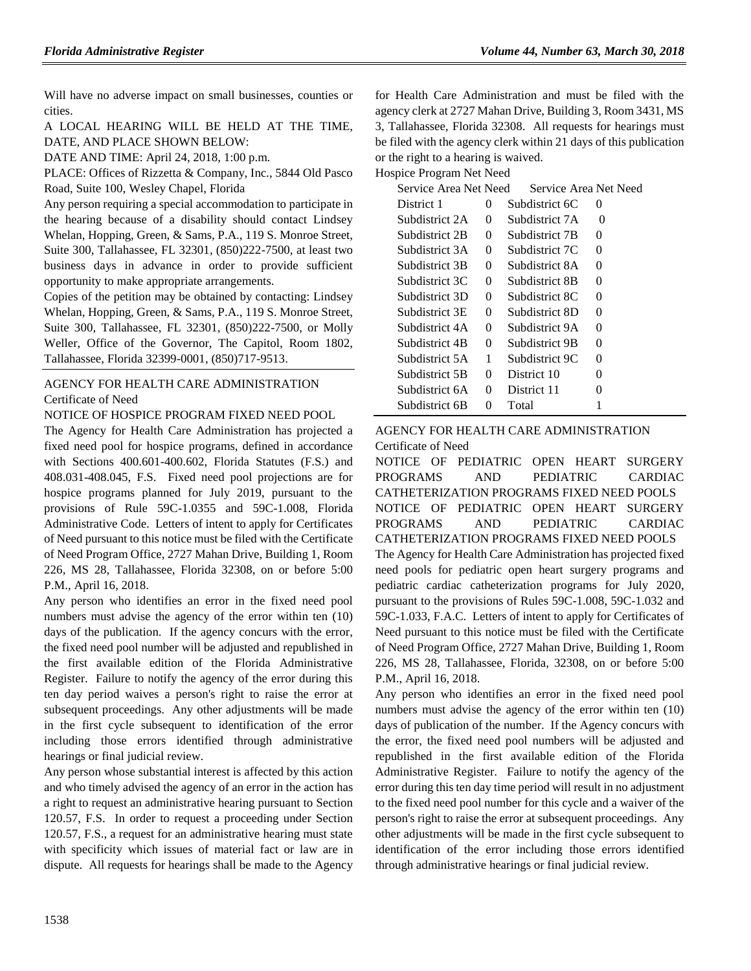Will have no adverse impact on small businesses, counties or cities.

A LOCAL HEARING WILL BE HELD AT THE TIME, DATE, AND PLACE SHOWN BELOW:

DATE AND TIME: April 24, 2018, 1:00 p.m.

PLACE: Offices of Rizzetta & Company, Inc., 5844 Old Pasco Road, Suite 100, Wesley Chapel, Florida

Any person requiring a special accommodation to participate in the hearing because of a disability should contact Lindsey Whelan, Hopping, Green, & Sams, P.A., 119 S. Monroe Street, Suite 300, Tallahassee, FL 32301, (850)222-7500, at least two business days in advance in order to provide sufficient opportunity to make appropriate arrangements.

Copies of the petition may be obtained by contacting: Lindsey Whelan, Hopping, Green, & Sams, P.A., 119 S. Monroe Street, Suite 300, Tallahassee, FL 32301, (850)222-7500, or Molly Weller, Office of the Governor, The Capitol, Room 1802, Tallahassee, Florida 32399-0001, (850)717-9513.

# [AGENCY FOR HEALTH CARE ADMINISTRATION](https://www.flrules.org/gateway/department.asp?id=59) [Certificate of Need](https://www.flrules.org/gateway/organization.asp?id=188)

### NOTICE OF HOSPICE PROGRAM FIXED NEED POOL

The Agency for Health Care Administration has projected a fixed need pool for hospice programs, defined in accordance with Sections 400.601-400.602, Florida Statutes (F.S.) and 408.031-408.045, F.S. Fixed need pool projections are for hospice programs planned for July 2019, pursuant to the provisions of Rule 59C-1.0355 and 59C-1.008, Florida Administrative Code. Letters of intent to apply for Certificates of Need pursuant to this notice must be filed with the Certificate of Need Program Office, 2727 Mahan Drive, Building 1, Room 226, MS 28, Tallahassee, Florida 32308, on or before 5:00 P.M., April 16, 2018.

Any person who identifies an error in the fixed need pool numbers must advise the agency of the error within ten (10) days of the publication. If the agency concurs with the error, the fixed need pool number will be adjusted and republished in the first available edition of the Florida Administrative Register. Failure to notify the agency of the error during this ten day period waives a person's right to raise the error at subsequent proceedings. Any other adjustments will be made in the first cycle subsequent to identification of the error including those errors identified through administrative hearings or final judicial review.

Any person whose substantial interest is affected by this action and who timely advised the agency of an error in the action has a right to request an administrative hearing pursuant to Section 120.57, F.S. In order to request a proceeding under Section 120.57, F.S., a request for an administrative hearing must state with specificity which issues of material fact or law are in dispute. All requests for hearings shall be made to the Agency

for Health Care Administration and must be filed with the agency clerk at 2727 Mahan Drive, Building 3, Room 3431, MS 3, Tallahassee, Florida 32308. All requests for hearings must be filed with the agency clerk within 21 days of this publication or the right to a hearing is waived.

Hospice Program Net Need

| Service Area Net Need |          | Service Area Net Need |          |
|-----------------------|----------|-----------------------|----------|
| District 1            | 0        | Subdistrict 6C        | $\theta$ |
| Subdistrict 2A        | $^{(1)}$ | Subdistrict 7A        | $\Omega$ |
| Subdistrict 2B        | $\Omega$ | Subdistrict 7B        | $\Omega$ |
| Subdistrict 3A        | $\Omega$ | Subdistrict 7C        | $\theta$ |
| Subdistrict 3B        | 0        | Subdistrict 8A        | 0        |
| Subdistrict 3C        | 0        | Subdistrict 8B        | $\Omega$ |
| Subdistrict 3D        | 0        | Subdistrict 8C        | 0        |
| Subdistrict 3E        | 0        | Subdistrict 8D        | 0        |
| Subdistrict 4A        | 0        | Subdistrict 9A        | 0        |
| Subdistrict 4B        | 0        | Subdistrict 9B        | 0        |
| Subdistrict 5A        | 1        | Subdistrict 9C        | 0        |
| Subdistrict 5B        | $\Omega$ | District 10           | $\Omega$ |
| Subdistrict 6A        | 0        | District 11           | 0        |
| Subdistrict 6B        | 0        | Total                 |          |

[AGENCY FOR HEALTH CARE ADMINISTRATION](https://www.flrules.org/gateway/department.asp?id=59)

[Certificate of Need](https://www.flrules.org/gateway/organization.asp?id=188)

NOTICE OF PEDIATRIC OPEN HEART SURGERY PROGRAMS AND PEDIATRIC CARDIAC CATHETERIZATION PROGRAMS FIXED NEED POOLS NOTICE OF PEDIATRIC OPEN HEART SURGERY PROGRAMS AND PEDIATRIC CARDIAC CATHETERIZATION PROGRAMS FIXED NEED POOLS The Agency for Health Care Administration has projected fixed need pools for pediatric open heart surgery programs and pediatric cardiac catheterization programs for July 2020, pursuant to the provisions of Rules 59C-1.008, 59C-1.032 and 59C-1.033, F.A.C. Letters of intent to apply for Certificates of Need pursuant to this notice must be filed with the Certificate of Need Program Office, 2727 Mahan Drive, Building 1, Room 226, MS 28, Tallahassee, Florida, 32308, on or before 5:00 P.M., April 16, 2018.

Any person who identifies an error in the fixed need pool numbers must advise the agency of the error within ten (10) days of publication of the number. If the Agency concurs with the error, the fixed need pool numbers will be adjusted and republished in the first available edition of the Florida Administrative Register. Failure to notify the agency of the error during this ten day time period will result in no adjustment to the fixed need pool number for this cycle and a waiver of the person's right to raise the error at subsequent proceedings. Any other adjustments will be made in the first cycle subsequent to identification of the error including those errors identified through administrative hearings or final judicial review.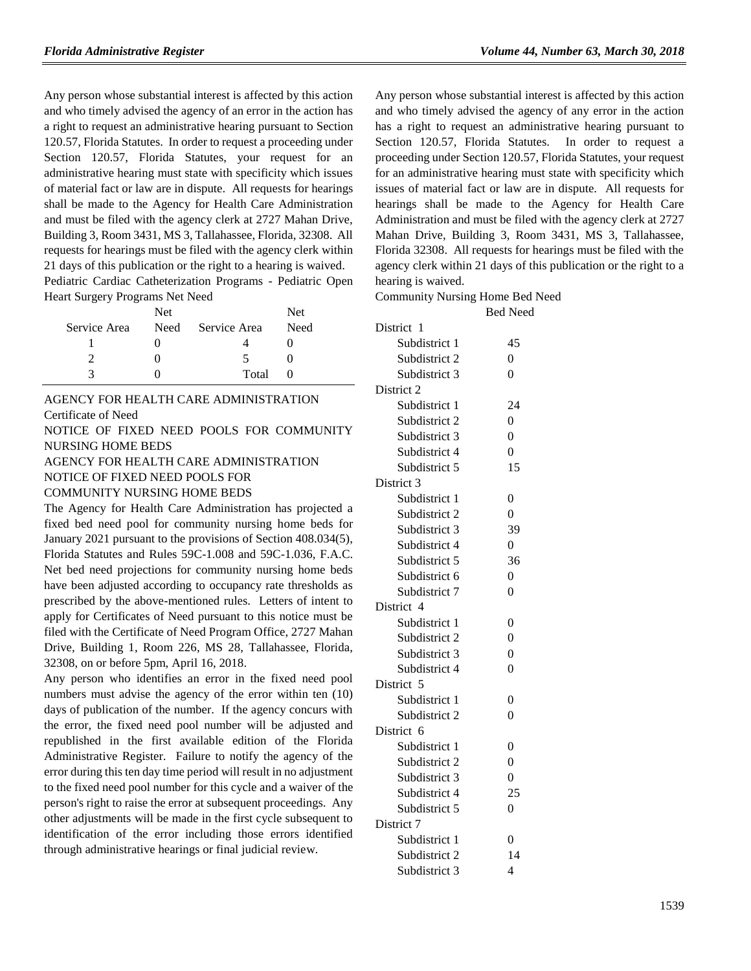Any person whose substantial interest is affected by this action and who timely advised the agency of an error in the action has a right to request an administrative hearing pursuant to Section 120.57, Florida Statutes. In order to request a proceeding under Section 120.57, Florida Statutes, your request for an administrative hearing must state with specificity which issues of material fact or law are in dispute. All requests for hearings shall be made to the Agency for Health Care Administration and must be filed with the agency clerk at 2727 Mahan Drive, Building 3, Room 3431, MS 3, Tallahassee, Florida, 32308. All requests for hearings must be filed with the agency clerk within 21 days of this publication or the right to a hearing is waived. Pediatric Cardiac Catheterization Programs - Pediatric Open

Heart Surgery Programs Net Need

|              | Net. |              | <b>Net</b> |
|--------------|------|--------------|------------|
| Service Area | Need | Service Area | Need       |
|              |      |              |            |
|              |      | ↖            |            |
|              |      | Total        |            |

## [AGENCY FOR HEALTH CARE ADMINISTRATION](https://www.flrules.org/gateway/department.asp?id=59) [Certificate of Need](https://www.flrules.org/gateway/organization.asp?id=188)

NOTICE OF FIXED NEED POOLS FOR COMMUNITY NURSING HOME BEDS

#### AGENCY FOR HEALTH CARE ADMINISTRATION

NOTICE OF FIXED NEED POOLS FOR

#### COMMUNITY NURSING HOME BEDS

The Agency for Health Care Administration has projected a fixed bed need pool for community nursing home beds for January 2021 pursuant to the provisions of Section 408.034(5), Florida Statutes and Rules 59C-1.008 and 59C-1.036, F.A.C. Net bed need projections for community nursing home beds have been adjusted according to occupancy rate thresholds as prescribed by the above-mentioned rules. Letters of intent to apply for Certificates of Need pursuant to this notice must be filed with the Certificate of Need Program Office, 2727 Mahan Drive, Building 1, Room 226, MS 28, Tallahassee, Florida, 32308, on or before 5pm, April 16, 2018.

Any person who identifies an error in the fixed need pool numbers must advise the agency of the error within ten (10) days of publication of the number. If the agency concurs with the error, the fixed need pool number will be adjusted and republished in the first available edition of the Florida Administrative Register. Failure to notify the agency of the error during this ten day time period will result in no adjustment to the fixed need pool number for this cycle and a waiver of the person's right to raise the error at subsequent proceedings. Any other adjustments will be made in the first cycle subsequent to identification of the error including those errors identified through administrative hearings or final judicial review.

Any person whose substantial interest is affected by this action and who timely advised the agency of any error in the action has a right to request an administrative hearing pursuant to Section 120.57, Florida Statutes. In order to request a proceeding under Section 120.57, Florida Statutes, your request for an administrative hearing must state with specificity which issues of material fact or law are in dispute. All requests for hearings shall be made to the Agency for Health Care Administration and must be filed with the agency clerk at 2727 Mahan Drive, Building 3, Room 3431, MS 3, Tallahassee, Florida 32308. All requests for hearings must be filed with the agency clerk within 21 days of this publication or the right to a hearing is waived.

Community Nursing Home Bed Need

|               | <b>Bed Need</b> |
|---------------|-----------------|
| District 1    |                 |
| Subdistrict 1 | 45              |
| Subdistrict 2 | $\overline{0}$  |
| Subdistrict 3 | 0               |
| District 2    |                 |
| Subdistrict 1 | 24              |
| Subdistrict 2 | $\overline{0}$  |
| Subdistrict 3 | $\overline{0}$  |
| Subdistrict 4 | $\overline{0}$  |
| Subdistrict 5 | 15              |
| District 3    |                 |
| Subdistrict 1 | 0               |
| Subdistrict 2 | $\overline{0}$  |
| Subdistrict 3 | 39              |
| Subdistrict 4 | $\overline{0}$  |
| Subdistrict 5 | 36              |
| Subdistrict 6 | $\overline{0}$  |
| Subdistrict 7 | $\overline{0}$  |
| District 4    |                 |
| Subdistrict 1 | 0               |
| Subdistrict 2 | $\overline{0}$  |
| Subdistrict 3 | $\overline{0}$  |
| Subdistrict 4 | $\overline{0}$  |
| District 5    |                 |
| Subdistrict 1 | 0               |
| Subdistrict 2 | $\overline{0}$  |
| District 6    |                 |
| Subdistrict 1 | 0               |
| Subdistrict 2 | $\overline{0}$  |
| Subdistrict 3 | $\overline{0}$  |
| Subdistrict 4 | 25              |
| Subdistrict 5 | $\overline{0}$  |
| District 7    |                 |
| Subdistrict 1 | 0               |
| Subdistrict 2 | 14              |
| Subdistrict 3 | 4               |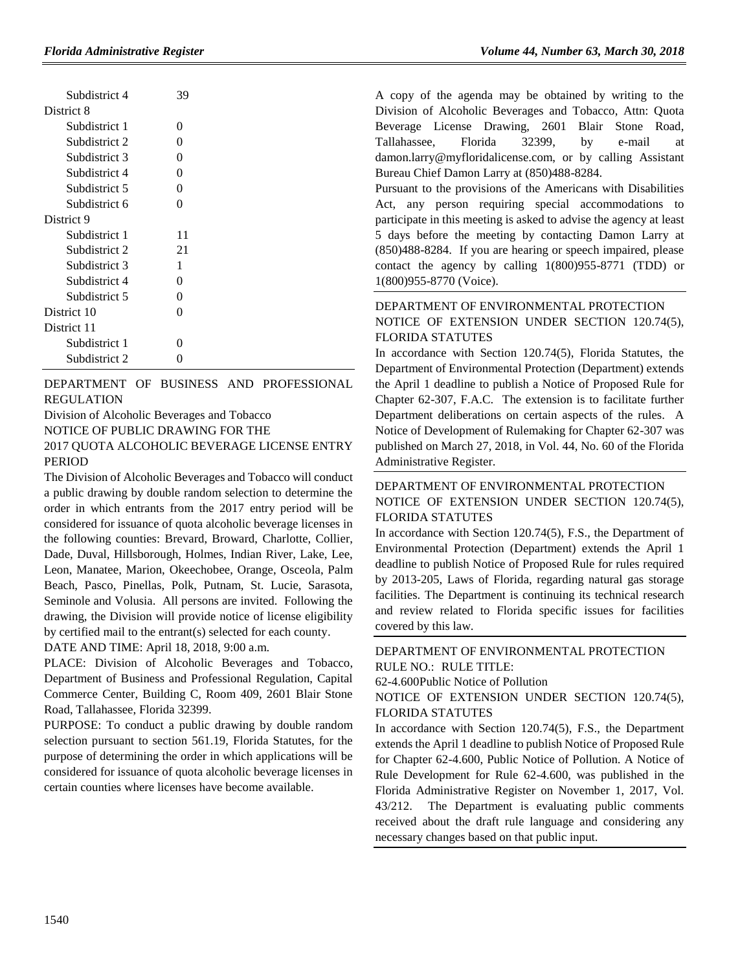| Subdistrict 4 | 39       |
|---------------|----------|
| District 8    |          |
| Subdistrict 1 | 0        |
| Subdistrict 2 | $\Omega$ |
| Subdistrict 3 | $\Omega$ |
| Subdistrict 4 | 0        |
| Subdistrict 5 | 0        |
| Subdistrict 6 | 0        |
| District 9    |          |
| Subdistrict 1 | 11       |
| Subdistrict 2 | 21       |
| Subdistrict 3 | 1        |
| Subdistrict 4 | 0        |
| Subdistrict 5 | 0        |
| District 10   | 0        |
| District 11   |          |
| Subdistrict 1 | $\Omega$ |
| Subdistrict 2 | 0        |

[DEPARTMENT OF BUSINESS AND PROFESSIONAL](https://www.flrules.org/gateway/department.asp?id=61)  [REGULATION](https://www.flrules.org/gateway/department.asp?id=61)

[Division of Alcoholic Beverages](https://www.flrules.org/gateway/organization.asp?id=247) and Tobacco NOTICE OF PUBLIC DRAWING FOR THE 2017 QUOTA ALCOHOLIC BEVERAGE LICENSE ENTRY PERIOD

The Division of Alcoholic Beverages and Tobacco will conduct a public drawing by double random selection to determine the order in which entrants from the 2017 entry period will be considered for issuance of quota alcoholic beverage licenses in the following counties: Brevard, Broward, Charlotte, Collier, Dade, Duval, Hillsborough, Holmes, Indian River, Lake, Lee, Leon, Manatee, Marion, Okeechobee, Orange, Osceola, Palm Beach, Pasco, Pinellas, Polk, Putnam, St. Lucie, Sarasota, Seminole and Volusia. All persons are invited. Following the drawing, the Division will provide notice of license eligibility by certified mail to the entrant(s) selected for each county.

DATE AND TIME: April 18, 2018, 9:00 a.m.

PLACE: Division of Alcoholic Beverages and Tobacco, Department of Business and Professional Regulation, Capital Commerce Center, Building C, Room 409, 2601 Blair Stone Road, Tallahassee, Florida 32399.

PURPOSE: To conduct a public drawing by double random selection pursuant to section 561.19, Florida Statutes, for the purpose of determining the order in which applications will be considered for issuance of quota alcoholic beverage licenses in certain counties where licenses have become available.

A copy of the agenda may be obtained by writing to the Division of Alcoholic Beverages and Tobacco, Attn: Quota Beverage License Drawing, 2601 Blair Stone Road, Tallahassee, Florida 32399, by e-mail at damon.larry@myfloridalicense.com, or by calling Assistant Bureau Chief Damon Larry at (850)488-8284.

Pursuant to the provisions of the Americans with Disabilities Act, any person requiring special accommodations to participate in this meeting is asked to advise the agency at least 5 days before the meeting by contacting Damon Larry at (850)488-8284. If you are hearing or speech impaired, please contact the agency by calling 1(800)955-8771 (TDD) or 1(800)955-8770 (Voice).

## [DEPARTMENT OF ENVIRONMENTAL PROTECTION](https://www.flrules.org/gateway/department.asp?id=62) NOTICE OF EXTENSION UNDER SECTION 120.74(5), FLORIDA STATUTES

In accordance with Section 120.74(5), Florida Statutes, the Department of Environmental Protection (Department) extends the April 1 deadline to publish a Notice of Proposed Rule for Chapter 62-307, F.A.C. The extension is to facilitate further Department deliberations on certain aspects of the rules. A Notice of Development of Rulemaking for Chapter 62-307 was published on March 27, 2018, in Vol. 44, No. 60 of the Florida Administrative Register.

## [DEPARTMENT OF ENVIRONMENTAL PROTECTION](https://www.flrules.org/gateway/department.asp?id=62) NOTICE OF EXTENSION UNDER SECTION 120.74(5), FLORIDA STATUTES

In accordance with Section 120.74(5), F.S., the Department of Environmental Protection (Department) extends the April 1 deadline to publish Notice of Proposed Rule for rules required by 2013-205, Laws of Florida, regarding natural gas storage facilities. The Department is continuing its technical research and review related to Florida specific issues for facilities covered by this law.

#### [DEPARTMENT OF ENVIRONMENTAL PROTECTION](https://www.flrules.org/gateway/department.asp?id=62) RULE NO.: RULE TITLE:

[62-4.600P](https://www.flrules.org/gateway/ruleNo.asp?id=62-4.600)ublic Notice of Pollution

NOTICE OF EXTENSION UNDER SECTION 120.74(5), FLORIDA STATUTES

In accordance with Section 120.74(5), F.S., the Department extends the April 1 deadline to publish Notice of Proposed Rule for Chapter 62-4.600, Public Notice of Pollution. A Notice of Rule Development for Rule 62-4.600, was published in the Florida Administrative Register on November 1, 2017, Vol. 43/212. The Department is evaluating public comments received about the draft rule language and considering any necessary changes based on that public input.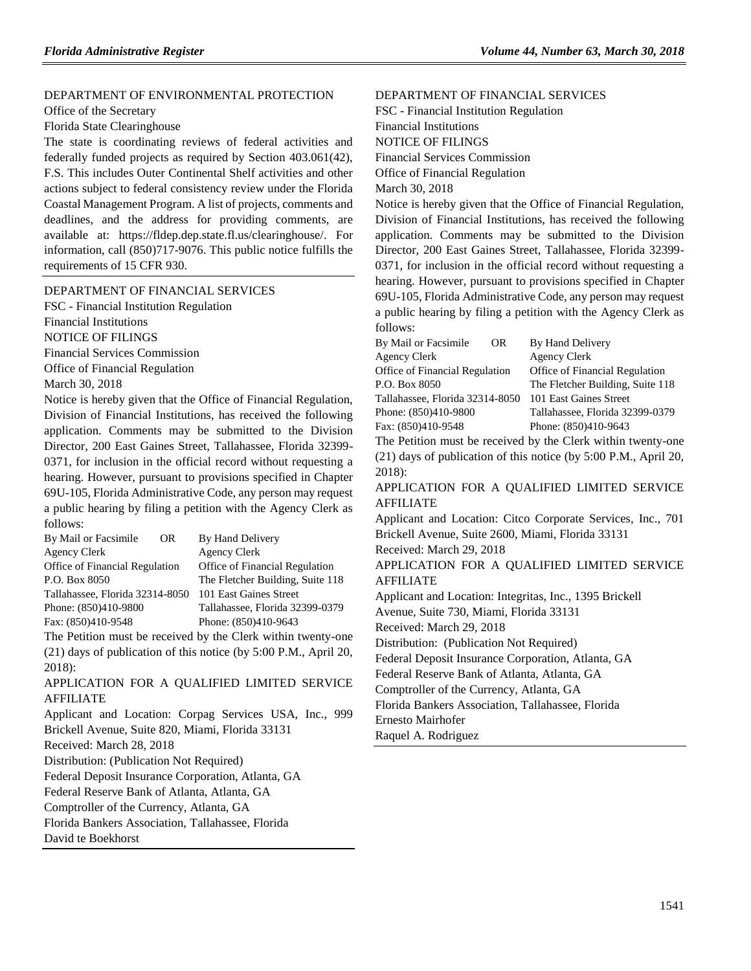#### [DEPARTMENT OF ENVIRONMENTAL PROTECTION](https://www.flrules.org/gateway/department.asp?id=62)

[Office of the Secretary](https://www.flrules.org/gateway/organization.asp?id=294)

Florida State Clearinghouse

The state is coordinating reviews of federal activities and federally funded projects as required by Section 403.061(42), F.S. This includes Outer Continental Shelf activities and other actions subject to federal consistency review under the Florida Coastal Management Program. A list of projects, comments and deadlines, and the address for providing comments, are available at: [https://fldep.dep.state.fl.us/clearinghouse/.](https://fldep.dep.state.fl.us/clearinghouse/) For information, call (850)717-9076. This public notice fulfills the requirements of 15 CFR 930.

#### [DEPARTMENT OF FINANCIAL SERVICES](https://www.flrules.org/gateway/department.asp?id=69)

FSC - [Financial Institution Regulation](https://www.flrules.org/gateway/organization.asp?id=523) Financial Institutions NOTICE OF FILINGS Financial Services Commission

Office of Financial Regulation

March 30, 2018

Notice is hereby given that the Office of Financial Regulation, Division of Financial Institutions, has received the following application. Comments may be submitted to the Division Director, 200 East Gaines Street, Tallahassee, Florida 32399- 0371, for inclusion in the official record without requesting a hearing. However, pursuant to provisions specified in Chapter 69U-105, Florida Administrative Code, any person may request a public hearing by filing a petition with the Agency Clerk as follows:

| By Mail or Facsimile            | OR. | By Hand Delivery                 |
|---------------------------------|-----|----------------------------------|
| Agency Clerk                    |     | <b>Agency Clerk</b>              |
| Office of Financial Regulation  |     | Office of Financial Regulation   |
| P.O. Box 8050                   |     | The Fletcher Building, Suite 118 |
| Tallahassee, Florida 32314-8050 |     | 101 East Gaines Street           |
| Phone: (850)410-9800            |     | Tallahassee, Florida 32399-0379  |
| Fax: (850)410-9548              |     | Phone: (850)410-9643             |

The Petition must be received by the Clerk within twenty-one (21) days of publication of this notice (by 5:00 P.M., April 20, 2018):

APPLICATION FOR A QUALIFIED LIMITED SERVICE AFFILIATE

Applicant and Location: Corpag Services USA, Inc., 999 Brickell Avenue, Suite 820, Miami, Florida 33131

Received: March 28, 2018

Distribution: (Publication Not Required)

Federal Deposit Insurance Corporation, Atlanta, GA

Federal Reserve Bank of Atlanta, Atlanta, GA

Comptroller of the Currency, Atlanta, GA

Florida Bankers Association, Tallahassee, Florida

David te Boekhorst

[DEPARTMENT OF FINANCIAL SERVICES](https://www.flrules.org/gateway/department.asp?id=69) FSC - [Financial Institution Regulation](https://www.flrules.org/gateway/organization.asp?id=523) Financial Institutions NOTICE OF FILINGS Financial Services Commission Office of Financial Regulation March 30, 2018

Notice is hereby given that the Office of Financial Regulation, Division of Financial Institutions, has received the following application. Comments may be submitted to the Division Director, 200 East Gaines Street, Tallahassee, Florida 32399- 0371, for inclusion in the official record without requesting a hearing. However, pursuant to provisions specified in Chapter 69U-105, Florida Administrative Code, any person may request a public hearing by filing a petition with the Agency Clerk as follows:

| By Mail or Facsimile            | OR. | By Hand Delivery                                            |
|---------------------------------|-----|-------------------------------------------------------------|
| Agency Clerk                    |     | <b>Agency Clerk</b>                                         |
| Office of Financial Regulation  |     | Office of Financial Regulation                              |
| P.O. Box 8050                   |     | The Fletcher Building, Suite 118                            |
| Tallahassee, Florida 32314-8050 |     | 101 East Gaines Street                                      |
| Phone: (850)410-9800            |     | Tallahassee, Florida 32399-0379                             |
| Fax: (850)410-9548              |     | Phone: (850)410-9643                                        |
|                                 |     | The Detition must be received by the Clerk within twenty on |

The Petition must be received by the Clerk within twenty-one (21) days of publication of this notice (by 5:00 P.M., April 20, 2018):

#### APPLICATION FOR A QUALIFIED LIMITED SERVICE AFFILIATE

Applicant and Location: Citco Corporate Services, Inc., 701 Brickell Avenue, Suite 2600, Miami, Florida 33131 Received: March 29, 2018 APPLICATION FOR A QUALIFIED LIMITED SERVICE

AFFILIATE

Applicant and Location: Integritas, Inc., 1395 Brickell Avenue, Suite 730, Miami, Florida 33131

Received: March 29, 2018

Distribution: (Publication Not Required)

Federal Deposit Insurance Corporation, Atlanta, GA

Federal Reserve Bank of Atlanta, Atlanta, GA

Comptroller of the Currency, Atlanta, GA

Florida Bankers Association, Tallahassee, Florida

Ernesto Mairhofer

Raquel A. Rodriguez